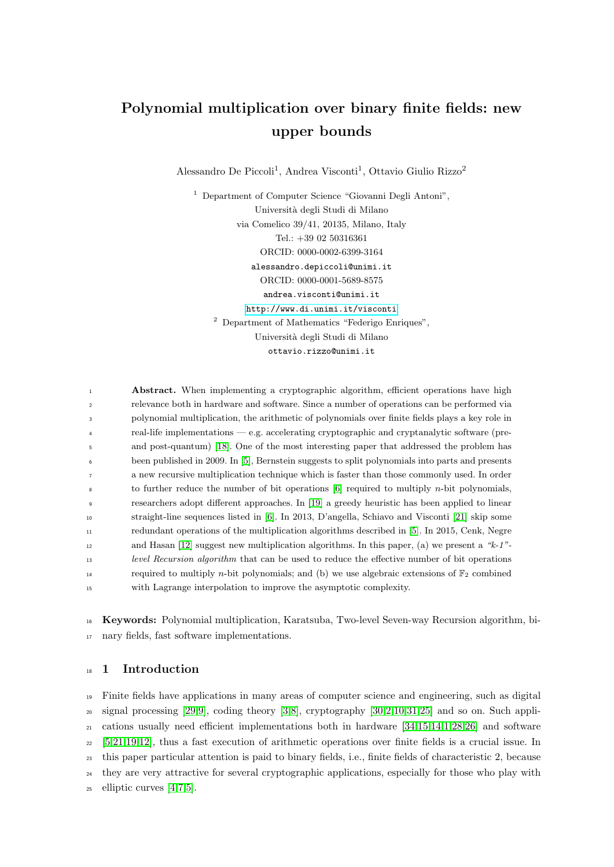# Polynomial multiplication over binary finite fields: new upper bounds

Alessandro De Piccoli<sup>1</sup>, Andrea Visconti<sup>1</sup>, Ottavio Giulio Rizzo<sup>2</sup>

 $^{\rm 1}$  Department of Computer Science "Giovanni Degli Antoni", Universit`a degli Studi di Milano via Comelico 39/41, 20135, Milano, Italy Tel.: +39 02 50316361 ORCID: 0000-0002-6399-3164 alessandro.depiccoli@unimi.it ORCID: 0000-0001-5689-8575 andrea.visconti@unimi.it <http://www.di.unimi.it/visconti> <sup>2</sup> Department of Mathematics "Federigo Enriques", Universit`a degli Studi di Milano ottavio.rizzo@unimi.it

**Abstract.** When implementing a cryptographic algorithm, efficient operations have high relevance both in hardware and software. Since a number of operations can be performed via polynomial multiplication, the arithmetic of polynomials over finite fields plays a key role in real-life implementations — e.g. accelerating cryptographic and cryptanalytic software (pre- and post-quantum) [\[18\]](#page-19-0). One of the most interesting paper that addressed the problem has been published in 2009. In [\[5\]](#page-18-0), Bernstein suggests to split polynomials into parts and presents a new recursive multiplication technique which is faster than those commonly used. In order to further reduce the number of bit operations  $[6]$  required to multiply *n*-bit polynomials, researchers adopt different approaches. In [\[19\]](#page-19-2) a greedy heuristic has been applied to linear straight-line sequences listed in [\[6\]](#page-19-1). In 2013, D'angella, Schiavo and Visconti [\[21\]](#page-19-3) skip some redundant operations of the multiplication algorithms described in [\[5\]](#page-18-0). In 2015, Cenk, Negre and Hasan [\[12\]](#page-19-4) suggest new multiplication algorithms. In this paper, (a) we present a "k-1"- level Recursion algorithm that can be used to reduce the effective number of bit operations 14 required to multiply *n*-bit polynomials; and (b) we use algebraic extensions of  $\mathbb{F}_2$  combined with Lagrange interpolation to improve the asymptotic complexity.

<sup>16</sup> Keywords: Polynomial multiplication, Karatsuba, Two-level Seven-way Recursion algorithm, bi-<sup>17</sup> nary fields, fast software implementations.

## <sup>18</sup> 1 Introduction

 Finite fields have applications in many areas of computer science and engineering, such as digital signal processing [\[29,](#page-19-5)[9\]](#page-19-6), coding theory [\[3,](#page-18-1)[8\]](#page-19-7), cryptography [\[30,](#page-20-0)[2,](#page-18-2)[10,](#page-19-8)[31,](#page-20-1)[25\]](#page-19-9) and so on. Such appli- cations usually need efficient implementations both in hardware [\[34,](#page-20-2)[15,](#page-19-10)[14,](#page-19-11)[1,](#page-18-3)[28,](#page-19-12)[26\]](#page-19-13) and software [\[5,](#page-18-0)[21](#page-19-3)[,19](#page-19-2)[,12\]](#page-19-4), thus a fast execution of arithmetic operations over finite fields is a crucial issue. In this paper particular attention is paid to binary fields, i.e., finite fields of characteristic 2, because they are very attractive for several cryptographic applications, especially for those who play with <sup>25</sup> elliptic curves  $[4,7,5]$  $[4,7,5]$  $[4,7,5]$ .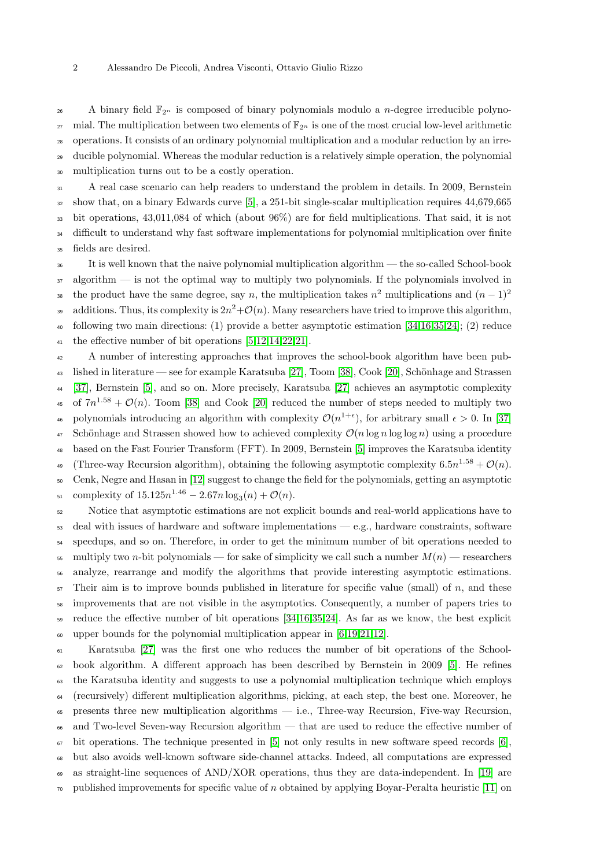#### 2 Alessandro De Piccoli, Andrea Visconti, Ottavio Giulio Rizzo

26 A binary field  $\mathbb{F}_{2^n}$  is composed of binary polynomials modulo a *n*-degree irreducible polyno-27 mial. The multiplication between two elements of  $\mathbb{F}_{2^n}$  is one of the most crucial low-level arithmetic operations. It consists of an ordinary polynomial multiplication and a modular reduction by an irre- ducible polynomial. Whereas the modular reduction is a relatively simple operation, the polynomial multiplication turns out to be a costly operation.

 A real case scenario can help readers to understand the problem in details. In 2009, Bernstein show that, on a binary Edwards curve [\[5\]](#page-18-0), a 251-bit single-scalar multiplication requires 44,679,665 bit operations, 43,011,084 of which (about 96%) are for field multiplications. That said, it is not <sup>34</sup> difficult to understand why fast software implementations for polynomial multiplication over finite fields are desired.

<sup>36</sup> It is well known that the naive polynomial multiplication algorithm — the so-called School-book 37 algorithm — is not the optimal way to multiply two polynomials. If the polynomials involved in the product have the same degree, say n, the multiplication takes  $n^2$  multiplications and  $(n-1)^2$  additions. Thus, its complexity is  $2n^2 + \mathcal{O}(n)$ . Many researchers have tried to improve this algorithm, following two main directions: (1) provide a better asymptotic estimation [\[34,](#page-20-2)[16,](#page-19-15)[35,](#page-20-3)[24\]](#page-19-16); (2) reduce the effective number of bit operations [\[5,](#page-18-0)[12,](#page-19-4)[14](#page-19-11)[,22,](#page-19-17)[21\]](#page-19-3).

 A number of interesting approaches that improves the school-book algorithm have been pub-43 lished in literature — see for example Karatsuba [\[27\]](#page-19-18), Toom [\[38\]](#page-20-4), Cook [\[20\]](#page-19-19), Schönhage and Strassen [\[37\]](#page-20-5), Bernstein [\[5\]](#page-18-0), and so on. More precisely, Karatsuba [\[27\]](#page-19-18) achieves an asymptotic complexity 45 of  $7n^{1.58} + \mathcal{O}(n)$ . Toom [\[38\]](#page-20-4) and Cook [\[20\]](#page-19-19) reduced the number of steps needed to multiply two 46 polynomials introducing an algorithm with complexity  $\mathcal{O}(n^{1+\epsilon})$ , for arbitrary small  $\epsilon > 0$ . In [\[37\]](#page-20-5) <sup>47</sup> Schönhage and Strassen showed how to achieved complexity  $\mathcal{O}(n \log n \log \log n)$  using a procedure based on the Fast Fourier Transform (FFT). In 2009, Bernstein [\[5\]](#page-18-0) improves the Karatsuba identity <sup>49</sup> (Three-way Recursion algorithm), obtaining the following asymptotic complexity  $6.5n^{1.58} + \mathcal{O}(n)$ . Cenk, Negre and Hasan in [\[12\]](#page-19-4) suggest to change the field for the polynomials, getting an asymptotic 51 complexity of  $15.125n^{1.46} - 2.67n \log_3(n) + \mathcal{O}(n)$ . Notice that asymptotic estimations are not explicit bounds and real-world applications have to

 deal with issues of hardware and software implementations — e.g., hardware constraints, software speedups, and so on. Therefore, in order to get the minimum number of bit operations needed to 55 multiply two n-bit polynomials — for sake of simplicity we call such a number  $M(n)$  — researchers analyze, rearrange and modify the algorithms that provide interesting asymptotic estimations. Their aim is to improve bounds published in literature for specific value (small) of n, and these improvements that are not visible in the asymptotics. Consequently, a number of papers tries to reduce the effective number of bit operations [\[34,](#page-20-2)[16](#page-19-15)[,35,](#page-20-3)[24\]](#page-19-16). As far as we know, the best explicit  $\omega$  upper bounds for the polynomial multiplication appear in [\[6,](#page-19-1)[19,](#page-19-2)[21,](#page-19-3)[12\]](#page-19-4).

 Karatsuba [\[27\]](#page-19-18) was the first one who reduces the number of bit operations of the School- book algorithm. A different approach has been described by Bernstein in 2009 [\[5\]](#page-18-0). He refines the Karatsuba identity and suggests to use a polynomial multiplication technique which employs (recursively) different multiplication algorithms, picking, at each step, the best one. Moreover, he presents three new multiplication algorithms  $-$  i.e., Three-way Recursion, Five-way Recursion, and Two-level Seven-way Recursion algorithm — that are used to reduce the effective number of  $\sigma$  bit operations. The technique presented in [\[5\]](#page-18-0) not only results in new software speed records [\[6\]](#page-19-1), but also avoids well-known software side-channel attacks. Indeed, all computations are expressed as straight-line sequences of AND/XOR operations, thus they are data-independent. In [\[19\]](#page-19-2) are  $\tau$ <sup>0</sup> published improvements for specific value of n obtained by applying Boyar-Peralta heuristic [\[11\]](#page-19-20) on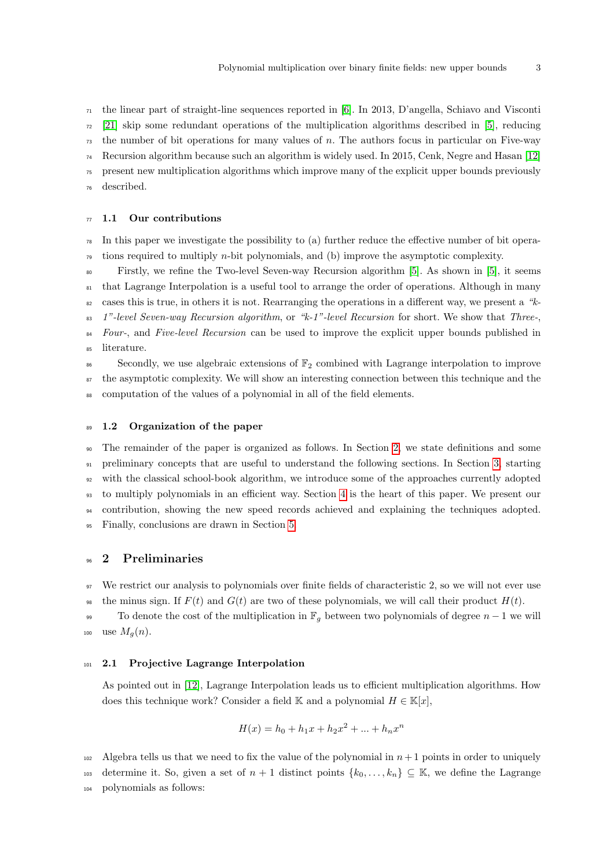$_{71}$  the linear part of straight-line sequences reported in [\[6\]](#page-19-1). In 2013, D'angella, Schiavo and Visconti  $72 \quad [21]$  $72 \quad [21]$  skip some redundant operations of the multiplication algorithms described in [\[5\]](#page-18-0), reducing  $73$  the number of bit operations for many values of n. The authors focus in particular on Five-way  $74$  Recursion algorithm because such an algorithm is widely used. In 2015, Cenk, Negre and Hasan [\[12\]](#page-19-4) <sup>75</sup> present new multiplication algorithms which improve many of the explicit upper bounds previously described.

#### $77 \quad 1.1$  Our contributions

<sup>78</sup> In this paper we investigate the possibility to (a) further reduce the effective number of bit opera- $\tau$ <sup>9</sup> tions required to multiply *n*-bit polynomials, and (b) improve the asymptotic complexity.

<sup>80</sup> Firstly, we refine the Two-level Seven-way Recursion algorithm [\[5\]](#page-18-0). As shown in [\[5\]](#page-18-0), it seems <sup>81</sup> that Lagrange Interpolation is a useful tool to arrange the order of operations. Although in many  $\frac{1}{82}$  cases this is true, in others it is not. Rearranging the operations in a different way, we present a "k- $83$  1"-level Seven-way Recursion algorithm, or "k-1"-level Recursion for short. We show that Three-<sup>84</sup> Four-, and Five-level Recursion can be used to improve the explicit upper bounds published in

<sup>85</sup> literature.

Secondly, we use algebraic extensions of  $\mathbb{F}_2$  combined with Lagrange interpolation to improve <sup>87</sup> the asymptotic complexity. We will show an interesting connection between this technique and the

<sup>88</sup> computation of the values of a polynomial in all of the field elements.

#### <sup>89</sup> 1.2 Organization of the paper

 The remainder of the paper is organized as follows. In Section [2,](#page-2-0) we state definitions and some preliminary concepts that are useful to understand the following sections. In Section [3,](#page-3-0) starting with the classical school-book algorithm, we introduce some of the approaches currently adopted to multiply polynomials in an efficient way. Section [4](#page-8-0) is the heart of this paper. We present our contribution, showing the new speed records achieved and explaining the techniques adopted. Finally, conclusions are drawn in Section [5.](#page-18-5)

## <span id="page-2-0"></span><sup>96</sup> 2 Preliminaries

<sup>97</sup> We restrict our analysis to polynomials over finite fields of characteristic 2, so we will not ever use <sup>98</sup> the minus sign. If  $F(t)$  and  $G(t)$  are two of these polynomials, we will call their product  $H(t)$ .

99 To denote the cost of the multiplication in  $\mathbb{F}_q$  between two polynomials of degree  $n-1$  we will 100 use  $M_q(n)$ .

#### <sup>101</sup> 2.1 Projective Lagrange Interpolation

As pointed out in [\[12\]](#page-19-4), Lagrange Interpolation leads us to efficient multiplication algorithms. How does this technique work? Consider a field K and a polynomial  $H \in \mathbb{K}[x]$ ,

$$
H(x) = h_0 + h_1 x + h_2 x^2 + \dots + h_n x^n
$$

102 Algebra tells us that we need to fix the value of the polynomial in  $n+1$  points in order to uniquely

103 determine it. So, given a set of  $n+1$  distinct points  $\{k_0,\ldots,k_n\} \subseteq \mathbb{K}$ , we define the Lagrange <sup>104</sup> polynomials as follows: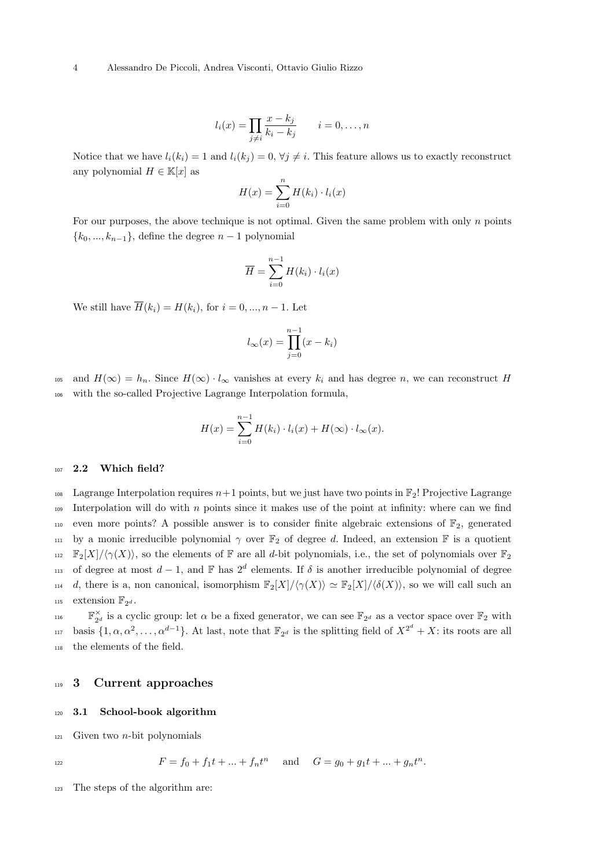#### 4 Alessandro De Piccoli, Andrea Visconti, Ottavio Giulio Rizzo

$$
l_i(x) = \prod_{j \neq i} \frac{x - k_j}{k_i - k_j} \qquad i = 0, \dots, n
$$

Notice that we have  $l_i(k_i) = 1$  and  $l_i(k_j) = 0, \forall j \neq i$ . This feature allows us to exactly reconstruct any polynomial  $H \in \mathbb{K}[x]$  as

$$
H(x) = \sum_{i=0}^{n} H(k_i) \cdot l_i(x)
$$

For our purposes, the above technique is not optimal. Given the same problem with only n points  ${k_0, ..., k_{n-1}}$ , define the degree  $n-1$  polynomial

$$
\overline{H} = \sum_{i=0}^{n-1} H(k_i) \cdot l_i(x)
$$

We still have  $\overline{H}(k_i) = H(k_i)$ , for  $i = 0, ..., n - 1$ . Let

$$
l_{\infty}(x) = \prod_{j=0}^{n-1} (x - k_i)
$$

105 and  $H(\infty) = h_n$ . Since  $H(\infty) \cdot l_\infty$  vanishes at every  $k_i$  and has degree n, we can reconstruct H <sup>106</sup> with the so-called Projective Lagrange Interpolation formula,

$$
H(x) = \sum_{i=0}^{n-1} H(k_i) \cdot l_i(x) + H(\infty) \cdot l_\infty(x).
$$

#### 107 2.2 Which field?

<sup>108</sup> Lagrange Interpolation requires  $n+1$  points, but we just have two points in  $\mathbb{F}_2$ ! Projective Lagrange 109 Interpolation will do with  $n$  points since it makes use of the point at infinity: where can we find 110 even more points? A possible answer is to consider finite algebraic extensions of  $\mathbb{F}_2$ , generated 111 by a monic irreducible polynomial  $\gamma$  over  $\mathbb{F}_2$  of degree d. Indeed, an extension  $\mathbb F$  is a quotient  $_{112}$   $\mathbb{F}_2[X]/\langle \gamma(X)\rangle$ , so the elements of F are all d-bit polynomials, i.e., the set of polynomials over  $\mathbb{F}_2$ 113 of degree at most  $d-1$ , and F has  $2^d$  elements. If  $\delta$  is another irreducible polynomial of degree 114 d, there is a, non canonical, isomorphism  $\mathbb{F}_2[X]/\langle \gamma(X)\rangle \simeq \mathbb{F}_2[X]/\langle \delta(X)\rangle$ , so we will call such an 115 extension  $\mathbb{F}_{2^d}$ .

 $\mathbb{F}_{2^d}^{\times}$  is a cyclic group: let  $\alpha$  be a fixed generator, we can see  $\mathbb{F}_{2^d}$  as a vector space over  $\mathbb{F}_2$  with <sup>117</sup> basis  $\{1, \alpha, \alpha^2, \dots, \alpha^{d-1}\}$ . At last, note that  $\mathbb{F}_{2^d}$  is the splitting field of  $X^{2^d} + X$ : its roots are all <sup>118</sup> the elements of the field.

## <span id="page-3-0"></span><sup>119</sup> 3 Current approaches

#### <sup>120</sup> 3.1 School-book algorithm

 $121$  Given two *n*-bit polynomials

$$
^{122}
$$

$$
F = f_0 + f_1 t + \dots + f_n t^n \quad \text{and} \quad G = g_0 + g_1 t + \dots + g_n t^n.
$$

<sup>123</sup> The steps of the algorithm are: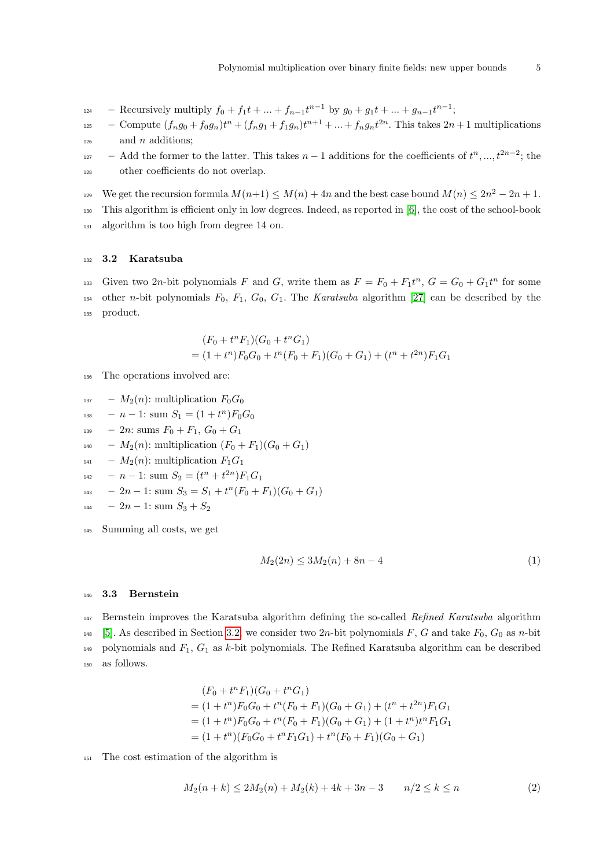- $\mathcal{L}_{124}$  Recursively multiply  $f_0 + f_1 t + \ldots + f_{n-1} t^{n-1}$  by  $g_0 + g_1 t + \ldots + g_{n-1} t^{n-1}$ ;
- <sup>125</sup> Compute  $(f_n g_0 + f_0 g_n)t^n + (f_n g_1 + f_1 g_n)t^{n+1} + ... + f_n g_n t^{2n}$ . This takes  $2n + 1$  multiplications  $_{126}$  and *n* additions;
- $127 -$  Add the former to the latter. This takes  $n-1$  additions for the coefficients of  $t^n, ..., t^{2n-2}$ ; the <sup>128</sup> other coefficients do not overlap.
- We get the recursion formula  $M(n+1) \leq M(n) + 4n$  and the best case bound  $M(n) \leq 2n^2 2n + 1$ .
- <sup>130</sup> This algorithm is efficient only in low degrees. Indeed, as reported in [\[6\]](#page-19-1), the cost of the school-book <sup>131</sup> algorithm is too high from degree 14 on.

#### <span id="page-4-0"></span><sup>132</sup> 3.2 Karatsuba

133 Given two 2n-bit polynomials F and G, write them as  $F = F_0 + F_1 t^n$ ,  $G = G_0 + G_1 t^n$  for some 134 other n-bit polynomials  $F_0$ ,  $F_1$ ,  $G_0$ ,  $G_1$ . The Karatsuba algorithm [\[27\]](#page-19-18) can be described by the <sup>135</sup> product.

$$
(F_0 + t^n F_1)(G_0 + t^n G_1)
$$
  
=  $(1 + t^n)F_0G_0 + t^n(F_0 + F_1)(G_0 + G_1) + (t^n + t^{2n})F_1G_1$ 

- <sup>136</sup> The operations involved are:
- $_{137}$   $M_2(n)$ : multiplication  $F_0G_0$
- $_{138}$   $n-1$ : sum  $S_1 = (1+t^n)F_0G_0$
- $_{139}$  2n: sums  $F_0 + F_1$ ,  $G_0 + G_1$
- $_{140}$   $M_2(n)$ : multiplication  $(F_0 + F_1)(G_0 + G_1)$
- $_{141}$   $M_2(n)$ : multiplication  $F_1G_1$
- $_{142}$  n 1: sum  $S_2 = (t^n + t^{2n})F_1G_1$
- $_{143}$  2n 1: sum  $S_3 = S_1 + t^n(F_0 + F_1)(G_0 + G_1)$
- $_{144}$   $2n-1$ : sum  $S_3 + S_2$
- <sup>145</sup> Summing all costs, we get

$$
M_2(2n) \le 3M_2(n) + 8n - 4\tag{1}
$$

#### <span id="page-4-1"></span><sup>146</sup> 3.3 Bernstein

<sup>147</sup> Bernstein improves the Karatsuba algorithm defining the so-called Refined Karatsuba algorithm <sup>148</sup> [\[5\]](#page-18-0). As described in Section [3.2,](#page-4-0) we consider two 2n-bit polynomials F, G and take  $F_0$ ,  $G_0$  as n-bit 149 polynomials and  $F_1, G_1$  as k-bit polynomials. The Refined Karatsuba algorithm can be described <sup>150</sup> as follows.

$$
(F_0 + t^n F_1)(G_0 + t^n G_1)
$$
  
=  $(1 + t^n)F_0G_0 + t^n(F_0 + F_1)(G_0 + G_1) + (t^n + t^{2n})F_1G_1$   
=  $(1 + t^n)F_0G_0 + t^n(F_0 + F_1)(G_0 + G_1) + (1 + t^n)t^nF_1G_1$   
=  $(1 + t^n)(F_0G_0 + t^nF_1G_1) + t^n(F_0 + F_1)(G_0 + G_1)$ 

<sup>151</sup> The cost estimation of the algorithm is

<span id="page-4-2"></span>
$$
M_2(n+k) \le 2M_2(n) + M_2(k) + 4k + 3n - 3 \qquad n/2 \le k \le n \tag{2}
$$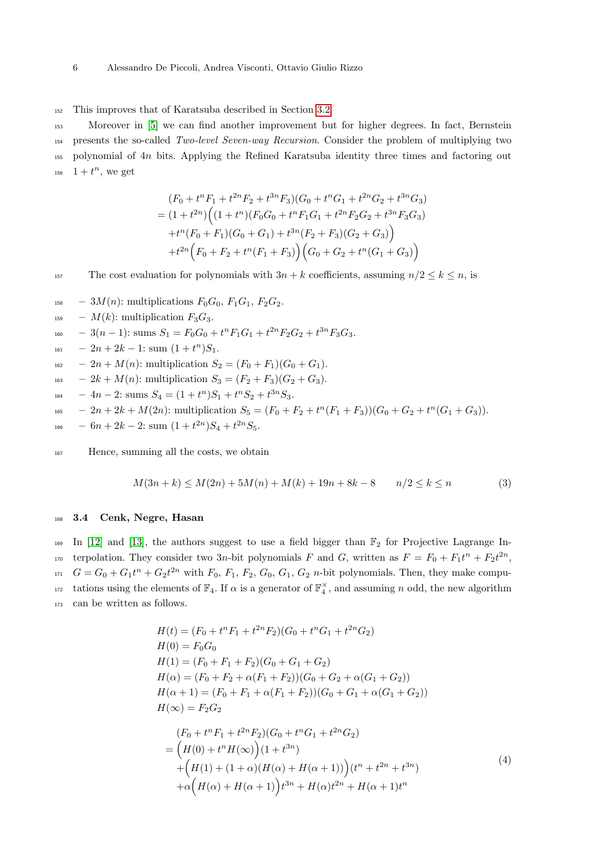<sup>152</sup> This improves that of Karatsuba described in Section [3.2.](#page-4-0)

 Moreover in [\[5\]](#page-18-0) we can find another improvement but for higher degrees. In fact, Bernstein presents the so-called Two-level Seven-way Recursion. Consider the problem of multiplying two polynomial of 4n bits. Applying the Refined Karatsuba identity three times and factoring out  $1 + t^n$ , we get

$$
(F_0 + t^n F_1 + t^{2n} F_2 + t^{3n} F_3)(G_0 + t^n G_1 + t^{2n} G_2 + t^{3n} G_3)
$$
  
=  $(1 + t^{2n}) \Big( (1 + t^n) (F_0 G_0 + t^n F_1 G_1 + t^{2n} F_2 G_2 + t^{3n} F_3 G_3)$   
+  $t^n (F_0 + F_1) (G_0 + G_1) + t^{3n} (F_2 + F_3) (G_2 + G_3) \Big)$   
+  $t^{2n} \Big( F_0 + F_2 + t^n (F_1 + F_3) \Big) \Big( G_0 + G_2 + t^n (G_1 + G_3) \Big)$ 

157 The cost evaluation for polynomials with  $3n + k$  coefficients, assuming  $n/2 \leq k \leq n$ , is

- $_{158}$  3*M(n)*: multiplications  $F_0G_0$ ,  $F_1G_1$ ,  $F_2G_2$ .
- <sup>159</sup>  $M(k)$ : multiplication  $F_3G_3$ .
- $_{160}$  3(n 1): sums  $S_1 = F_0G_0 + t^nF_1G_1 + t^{2n}F_2G_2 + t^{3n}F_3G_3.$
- $_{161}$   $2n+2k-1$ : sum  $(1+t^n)S_1$ .
- $_{162}$   $2n + M(n)$ : multiplication  $S_2 = (F_0 + F_1)(G_0 + G_1)$ .
- $_{163}$  2k + M(n): multiplication  $S_3 = (F_2 + F_3)(G_2 + G_3)$ .
- $_{164}$  4n 2: sums  $S_4 = (1 + t^n)S_1 + t^nS_2 + t^{3n}S_3$ .
- $\mu_{165}$   $2n + 2k + M(2n)$ : multiplication  $S_5 = (F_0 + F_2 + t^n(F_1 + F_3))(G_0 + G_2 + t^n(G_1 + G_3)).$
- $_{166}$  6n + 2k 2: sum  $(1+t^{2n})S_4+t^{2n}S_5$ .

<sup>167</sup> Hence, summing all the costs, we obtain

<span id="page-5-1"></span>
$$
M(3n+k) \le M(2n) + 5M(n) + M(k) + 19n + 8k - 8 \qquad n/2 \le k \le n \tag{3}
$$

#### <sup>168</sup> 3.4 Cenk, Negre, Hasan

169 In [\[12\]](#page-19-4) and [\[13\]](#page-19-21), the authors suggest to use a field bigger than  $\mathbb{F}_2$  for Projective Lagrange In-<sub>170</sub> terpolation. They consider two 3*n*-bit polynomials F and G, written as  $F = F_0 + F_1t^n + F_2t^{2n}$ ,  $G = G_0 + G_1 t^n + G_2 t^{2n}$  with  $F_0, F_1, F_2, G_0, G_1, G_2$  *n*-bit polynomials. Then, they make computations using the elements of  $\mathbb{F}_4$ . If  $\alpha$  is a generator of  $\mathbb{F}_4^{\times}$ , and assuming n odd, the new algorithm <sup>173</sup> can be written as follows.

<span id="page-5-0"></span>
$$
H(t) = (F_0 + t^n F_1 + t^{2n} F_2)(G_0 + t^n G_1 + t^{2n} G_2)
$$
  
\n
$$
H(0) = F_0 G_0
$$
  
\n
$$
H(1) = (F_0 + F_1 + F_2)(G_0 + G_1 + G_2)
$$
  
\n
$$
H(\alpha) = (F_0 + F_2 + \alpha (F_1 + F_2))(G_0 + G_2 + \alpha (G_1 + G_2))
$$
  
\n
$$
H(\alpha + 1) = (F_0 + F_1 + \alpha (F_1 + F_2))(G_0 + G_1 + \alpha (G_1 + G_2))
$$
  
\n
$$
H(\infty) = F_2 G_2
$$
  
\n
$$
(F_0 + t^n F_1 + t^{2n} F_2)(G_0 + t^n G_1 + t^{2n} G_2)
$$
  
\n
$$
= (H(0) + t^n H(\infty))(1 + t^{3n})
$$
  
\n
$$
+ (H(1) + (1 + \alpha)(H(\alpha) + H(\alpha + 1))) (t^n + t^{2n} + t^{3n})
$$
  
\n
$$
+ \alpha (H(\alpha) + H(\alpha + 1)) t^{3n} + H(\alpha) t^{2n} + H(\alpha + 1) t^n
$$
\n(4)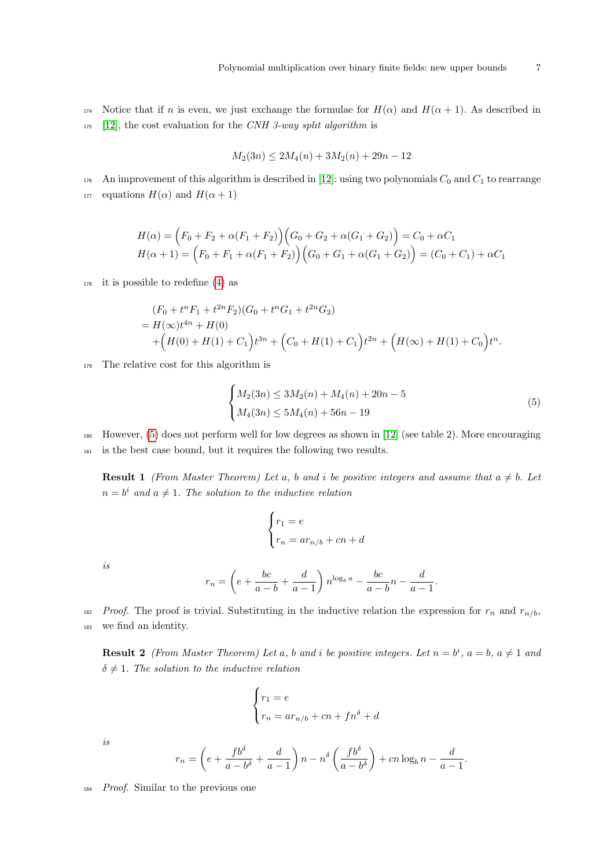174 Notice that if n is even, we just exchange the formulae for  $H(\alpha)$  and  $H(\alpha + 1)$ . As described in  $175$  [\[12\]](#page-19-4), the cost evaluation for the CNH 3-way split algorithm is

$$
M_2(3n) \le 2M_4(n) + 3M_2(n) + 29n - 12
$$

176 An improvement of this algorithm is described in [\[12\]](#page-19-4): using two polynomials  $C_0$  and  $C_1$  to rearrange 177 equations  $H(\alpha)$  and  $H(\alpha + 1)$ 

$$
H(\alpha) = (F_0 + F_2 + \alpha(F_1 + F_2)) (G_0 + G_2 + \alpha(G_1 + G_2)) = C_0 + \alpha C_1
$$
  

$$
H(\alpha + 1) = (F_0 + F_1 + \alpha(F_1 + F_2)) (G_0 + G_1 + \alpha(G_1 + G_2)) = (C_0 + C_1) + \alpha C_1
$$

 $178$  it is possible to redefine [\(4\)](#page-5-0) as

$$
(F_0 + t^n F_1 + t^{2n} F_2)(G_0 + t^n G_1 + t^{2n} G_2)
$$
  
=  $H(\infty)t^{4n} + H(0)$   
+  $(H(0) + H(1) + C_1)t^{3n} + (C_0 + H(1) + C_1)t^{2n} + (H(\infty) + H(1) + C_0)t^n$ .

<sup>179</sup> The relative cost for this algorithm is

<span id="page-6-0"></span>
$$
\begin{cases} M_2(3n) \le 3M_2(n) + M_4(n) + 20n - 5 \\ M_4(3n) \le 5M_4(n) + 56n - 19 \end{cases}
$$
 (5)

<sup>180</sup> However, [\(5\)](#page-6-0) does not perform well for low degrees as shown in [\[12\]](#page-19-4) (see table 2). More encouraging <sup>181</sup> is the best case bound, but it requires the following two results.

<span id="page-6-1"></span>**Result 1** (From Master Theorem) Let a, b and i be positive integers and assume that  $a \neq b$ . Let  $n = b^i$  and  $a \neq 1$ . The solution to the inductive relation

$$
\begin{cases} r_1 = e \\ r_n = ar_{n/b} + cn + d \end{cases}
$$

is

$$
r_n = \left(e + \frac{bc}{a-b} + \frac{d}{a-1}\right) n^{\log_b a} - \frac{bc}{a-b}n - \frac{d}{a-1}.
$$

<sup>182</sup> Proof. The proof is trivial. Substituting in the inductive relation the expression for  $r_n$  and  $r_{n/b}$ , <sup>183</sup> we find an identity.

<span id="page-6-2"></span>**Result 2** (From Master Theorem) Let a, b and i be positive integers. Let  $n = b^i$ ,  $a = b$ ,  $a \neq 1$  and  $\delta \neq 1$ . The solution to the inductive relation

$$
\begin{cases}\nr_1 = e \\
r_n = ar_{n/b} + cn + fn^{\delta} + d\n\end{cases}
$$

is

$$
r_n = \left(e + \frac{fb^{\delta}}{a - b^{\delta}} + \frac{d}{a - 1}\right)n - n^{\delta}\left(\frac{fb^{\delta}}{a - b^{\delta}}\right) + cn\log_b n - \frac{d}{a - 1}
$$

.

<sup>184</sup> Proof. Similar to the previous one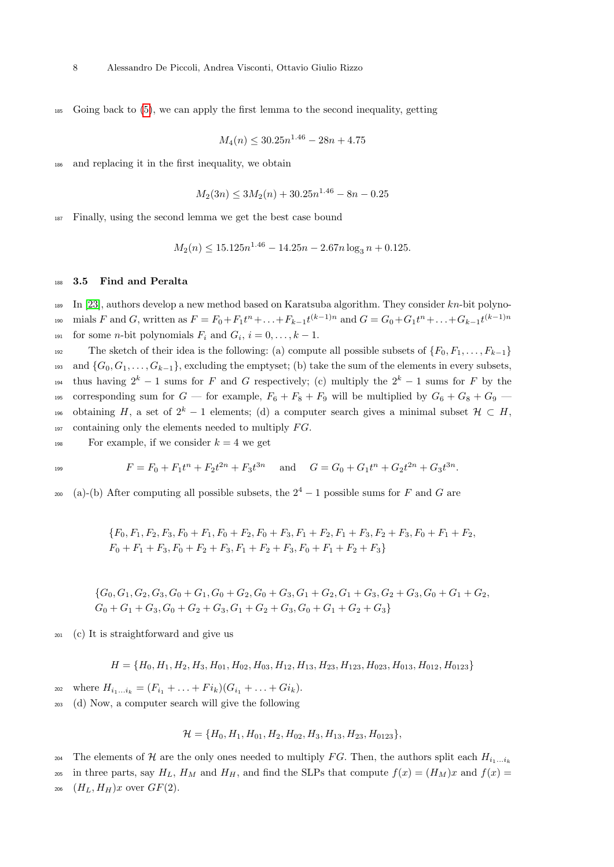<sup>185</sup> Going back to [\(5\)](#page-6-0), we can apply the first lemma to the second inequality, getting

$$
M_4(n) \le 30.25n^{1.46} - 28n + 4.75
$$

and replacing it in the first inequality, we obtain

$$
M_2(3n) \le 3M_2(n) + 30.25n^{1.46} - 8n - 0.25
$$

<sup>187</sup> Finally, using the second lemma we get the best case bound

$$
M_2(n) \le 15.125n^{1.46} - 14.25n - 2.67n \log_3 n + 0.125.
$$

#### 188 3.5 Find and Peralta

 $189$  In [\[23\]](#page-19-22), authors develop a new method based on Karatsuba algorithm. They consider  $kn$ -bit polyno- $\text{mials } F \text{ and } G \text{, written as } F = F_0 + F_1 t^n + \ldots + F_{k-1} t^{(k-1)n} \text{ and } G = G_0 + G_1 t^n + \ldots + G_{k-1} t^{(k-1)n}$ 191 for some *n*-bit polynomials  $F_i$  and  $G_i$ ,  $i = 0, \ldots, k - 1$ .

192 The sketch of their idea is the following: (a) compute all possible subsets of  $\{F_0, F_1, \ldots, F_{k-1}\}$ 193 and  $\{G_0, G_1, \ldots, G_{k-1}\}$ , excluding the emptyset; (b) take the sum of the elements in every subsets, thus having  $2^k - 1$  sums for F and G respectively; (c) multiply the  $2^k - 1$  sums for F by the 195 corresponding sum for  $G$  — for example,  $F_6 + F_8 + F_9$  will be multiplied by  $G_6 + G_8 + G_9$  — <sup>196</sup> obtaining H, a set of  $2^k - 1$  elements; (d) a computer search gives a minimal subset  $\mathcal{H} \subset H$ ,  $_{197}$  containing only the elements needed to multiply  $FG$ .

<sup>198</sup> For example, if we consider  $k = 4$  we get

$$
F = F_0 + F_1 t^n + F_2 t^{2n} + F_3 t^{3n} \quad \text{and} \quad G = G_0 + G_1 t^n + G_2 t^{2n} + G_3 t^{3n}.
$$

<sup>200</sup> (a)-(b) After computing all possible subsets, the  $2^4 - 1$  possible sums for F and G are

$$
{F_0, F_1, F_2, F_3, F_0 + F_1, F_0 + F_2, F_0 + F_3, F_1 + F_2, F_1 + F_3, F_2 + F_3, F_0 + F_1 + F_2, F_0 + F_1 + F_3, F_0 + F_2 + F_3, F_1 + F_2 + F_3, F_0 + F_1 + F_2 + F_3}
$$

 ${G_0, G_1, G_2, G_3, G_0 + G_1, G_0 + G_2, G_0 + G_3, G_1 + G_2, G_1 + G_3, G_2 + G_3, G_0 + G_1 + G_2, G_1 + G_2, G_2 + G_3, G_1 + G_2, G_2 + G_3, G_1 + G_2, G_2 + G_3, G_1 + G_2, G_2 + G_3, G_1 + G_2, G_2 + G_3, G_1 + G_2, G_2 + G_3, G_1 + G_2, G_2 + G_3, G_1 + G_2, G_2 + G_3, G_1 + G_2, G_2 + G_3$  $G_0 + G_1 + G_3, G_0 + G_2 + G_3, G_1 + G_2 + G_3, G_0 + G_1 + G_2 + G_3\}$ 

<sup>201</sup> (c) It is straightforward and give us

$$
H = \{H_0, H_1, H_2, H_3, H_{01}, H_{02}, H_{03}, H_{12}, H_{13}, H_{23}, H_{123}, H_{023}, H_{013}, H_{012}, H_{0123}\}
$$

- 202 where  $H_{i_1...i_k} = (F_{i_1} + ... + Fi_k)(G_{i_1} + ... + Gi_k).$
- <sup>203</sup> (d) Now, a computer search will give the following

$$
\mathcal{H} = \{H_0, H_1, H_{01}, H_2, H_{02}, H_3, H_{13}, H_{23}, H_{0123}\},\
$$

The elements of H are the only ones needed to multiply FG. Then, the authors split each  $H_{i_1...i_k}$ 204

205 in three parts, say  $H_L$ ,  $H_M$  and  $H_H$ , and find the SLPs that compute  $f(x) = (H_M)x$  and  $f(x) =$ 

206  $(H_L, H_H)x$  over  $GF(2)$ .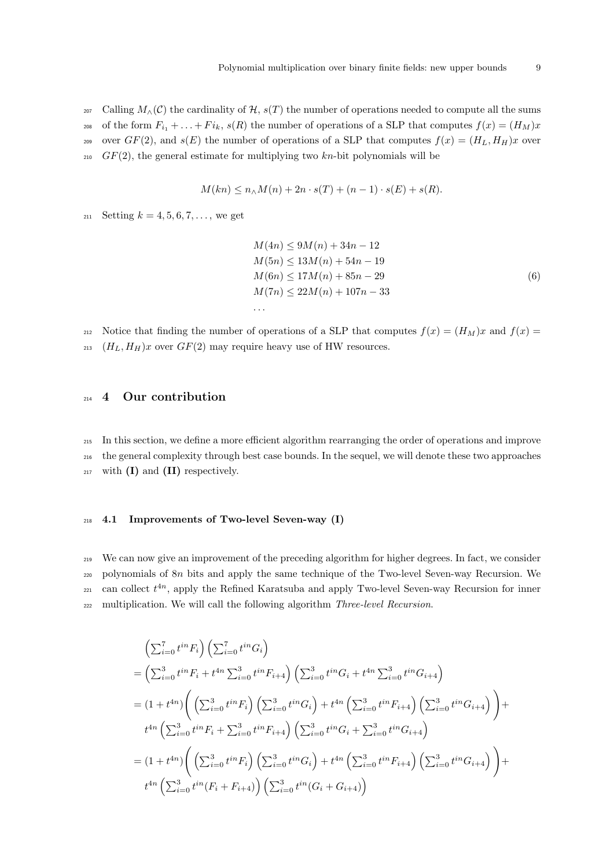207 Calling  $M_\wedge(\mathcal{C})$  the cardinality of  $\mathcal{H}$ ,  $s(T)$  the number of operations needed to compute all the sums 208 of the form  $F_{i_1} + \ldots + F_{i_k}$ ,  $s(R)$  the number of operations of a SLP that computes  $f(x) = (H_M)x$ <sup>209</sup> over  $GF(2)$ , and  $s(E)$  the number of operations of a SLP that computes  $f(x) = (H_L, H_H)x$  over  $210$  GF(2), the general estimate for multiplying two kn-bit polynomials will be

$$
M(kn) \le n_\wedge M(n) + 2n \cdot s(T) + (n-1) \cdot s(E) + s(R).
$$

211 Setting  $k = 4, 5, 6, 7, \ldots$ , we get

$$
M(4n) \le 9M(n) + 34n - 12
$$
  
\n
$$
M(5n) \le 13M(n) + 54n - 19
$$
  
\n
$$
M(6n) \le 17M(n) + 85n - 29
$$
  
\n
$$
M(7n) \le 22M(n) + 107n - 33
$$
  
\n... (6)

212 Notice that finding the number of operations of a SLP that computes  $f(x) = (H_M)x$  and  $f(x) =$ 213  $(H_L, H_H)x$  over  $GF(2)$  may require heavy use of HW resources.

## <span id="page-8-0"></span><sup>214</sup> 4 Our contribution

<sup>215</sup> In this section, we define a more efficient algorithm rearranging the order of operations and improve <sup>216</sup> the general complexity through best case bounds. In the sequel, we will denote these two approaches  $_{217}$  with (I) and (II) respectively.

#### <sup>218</sup> 4.1 Improvements of Two-level Seven-way (I)

<sup>219</sup> We can now give an improvement of the preceding algorithm for higher degrees. In fact, we consider <sup>220</sup> polynomials of 8n bits and apply the same technique of the Two-level Seven-way Recursion. We  $_{221}$  can collect  $t^{4n}$ , apply the Refined Karatsuba and apply Two-level Seven-way Recursion for inner 222 multiplication. We will call the following algorithm Three-level Recursion.

$$
\left(\sum_{i=0}^{7} t^{in} F_i\right) \left(\sum_{i=0}^{7} t^{in} G_i\right)
$$
\n
$$
= \left(\sum_{i=0}^{3} t^{in} F_i + t^{4n} \sum_{i=0}^{3} t^{in} F_{i+4}\right) \left(\sum_{i=0}^{3} t^{in} G_i + t^{4n} \sum_{i=0}^{3} t^{in} G_{i+4}\right)
$$
\n
$$
= (1 + t^{4n}) \left(\left(\sum_{i=0}^{3} t^{in} F_i\right) \left(\sum_{i=0}^{3} t^{in} G_i\right) + t^{4n} \left(\sum_{i=0}^{3} t^{in} F_{i+4}\right) \left(\sum_{i=0}^{3} t^{in} G_{i+4}\right)\right) + t^{4n} \left(\sum_{i=0}^{3} t^{in} F_i + \sum_{i=0}^{3} t^{in} F_{i+4}\right) \left(\sum_{i=0}^{3} t^{in} G_i + \sum_{i=0}^{3} t^{in} G_{i+4}\right)
$$
\n
$$
= (1 + t^{4n}) \left(\left(\sum_{i=0}^{3} t^{in} F_i\right) \left(\sum_{i=0}^{3} t^{in} G_i\right) + t^{4n} \left(\sum_{i=0}^{3} t^{in} F_{i+4}\right) \left(\sum_{i=0}^{3} t^{in} G_{i+4}\right)\right) + t^{4n} \left(\sum_{i=0}^{3} t^{in} (F_i + F_{i+4})\right) \left(\sum_{i=0}^{3} t^{in} (G_i + G_{i+4})\right)
$$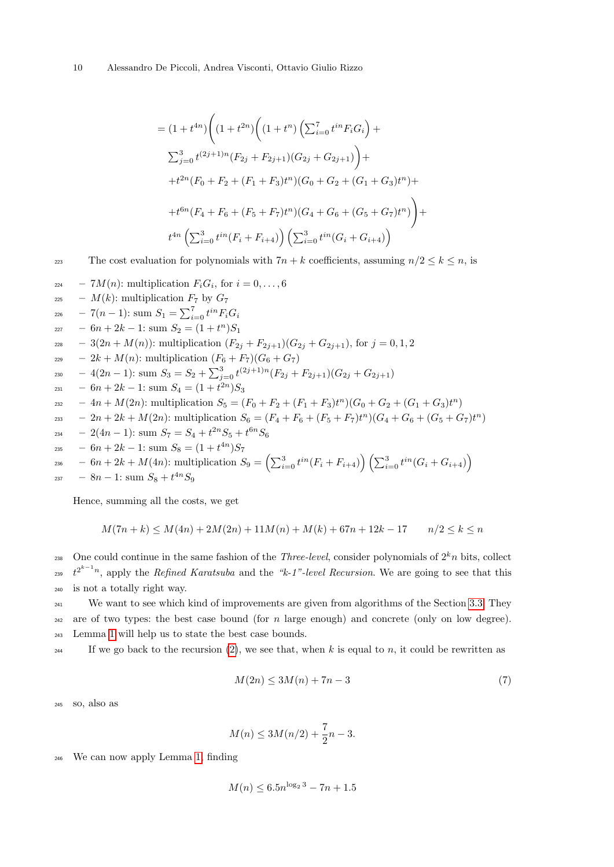$$
= (1 + t^{4n}) \Bigg( (1 + t^{2n}) \Bigg( (1 + t^n) \Big( \sum_{i=0}^7 t^{in} F_i G_i \Big) +
$$
  

$$
\sum_{j=0}^3 t^{(2j+1)n} (F_{2j} + F_{2j+1}) (G_{2j} + G_{2j+1}) \Bigg) +
$$
  

$$
+ t^{2n} (F_0 + F_2 + (F_1 + F_3) t^n) (G_0 + G_2 + (G_1 + G_3) t^n) +
$$
  

$$
+ t^{6n} (F_4 + F_6 + (F_5 + F_7) t^n) (G_4 + G_6 + (G_5 + G_7) t^n) \Bigg) +
$$
  

$$
t^{4n} \Big( \sum_{i=0}^3 t^{in} (F_i + F_{i+4}) \Big) \Big( \sum_{i=0}^3 t^{in} (G_i + G_{i+4}) \Bigg)
$$

223 The cost evaluation for polynomials with  $7n + k$  coefficients, assuming  $n/2 \leq k \leq n$ , is

$$
-7M(n): \text{multiplication } F_i G_i, \text{ for } i = 0, ..., 6
$$
\n
$$
- M(k): \text{multiplication } F_7 \text{ by } G_7
$$
\n
$$
-7(n-1): \text{ sum } S_1 = \sum_{i=0}^7 t^{in} F_i G_i
$$
\n
$$
-6n + 2k - 1: \text{ sum } S_2 = (1 + t^n)S_1
$$
\n
$$
-3(2n + M(n)): \text{multiplication } (F_{2j} + F_{2j+1})(G_{2j} + G_{2j+1}), \text{ for } j = 0, 1, 2
$$
\n
$$
-2k + M(n): \text{multiplication } (F_6 + F_7)(G_6 + G_7)
$$
\n
$$
-4(2n - 1): \text{ sum } S_3 = S_2 + \sum_{j=0}^3 t^{(2j+1)n} (F_{2j} + F_{2j+1})(G_{2j} + G_{2j+1})
$$
\n
$$
-6n + 2k - 1: \text{ sum } S_4 = (1 + t^{2n})S_3
$$
\n
$$
-4n + M(2n): \text{multiplication } S_5 = (F_0 + F_2 + (F_1 + F_3)t^n)(G_0 + G_2 + (G_1 + G_3)t^n)
$$
\n
$$
-2n + 2k + M(2n): \text{multiplication } S_6 = (F_4 + F_6 + (F_5 + F_7)t^n)(G_4 + G_6 + (G_5 + G_7)t^n)
$$
\n
$$
-2(4n - 1): \text{ sum } S_7 = S_4 + t^{2n}S_5 + t^{6n}S_6
$$
\n
$$
-6n + 2k - 1: \text{ sum } S_8 = (1 + t^{4n})S_7
$$
\n
$$
-6n + 2k + M(4n): \text{multiplication } S_9 = (\sum_{i=0}^3 t^{in}(F_i + F_{i+4})) (\sum_{i=0}^3 t^{in}(G_i + G_{i+4}))
$$
\n
$$
-8n - 1: \text{ sum } S_8 + t^{4n}S_9
$$

Hence, summing all the costs, we get

$$
M(7n+k) \le M(4n) + 2M(2n) + 11M(n) + M(k) + 67n + 12k - 17 \qquad n/2 \le k \le n
$$

238 One could continue in the same fashion of the *Three-level*, consider polynomials of  $2<sup>k</sup>n$  bits, collect <sup>239</sup>  $t^{2^{k-1}n}$ , apply the *Refined Karatsuba* and the "k-1"-level *Recursion*. We are going to see that this <sup>240</sup> is not a totally right way.

<sup>241</sup> We want to see which kind of improvements are given from algorithms of the Section [3.3.](#page-4-1) They  $242$  are of two types: the best case bound (for n large enough) and concrete (only on low degree). <sup>243</sup> Lemma [1](#page-6-1) will help us to state the best case bounds.

<sup>244</sup> If we go back to the recursion [\(2\)](#page-4-2), we see that, when k is equal to n, it could be rewritten as

<span id="page-9-0"></span>
$$
M(2n) \le 3M(n) + 7n - 3\tag{7}
$$

<sup>245</sup> so, also as

$$
M(n) \le 3M(n/2) + \frac{7}{2}n - 3.
$$

<sup>246</sup> We can now apply Lemma [1,](#page-6-1) finding

$$
M(n) \le 6.5n^{\log_2 3} - 7n + 1.5
$$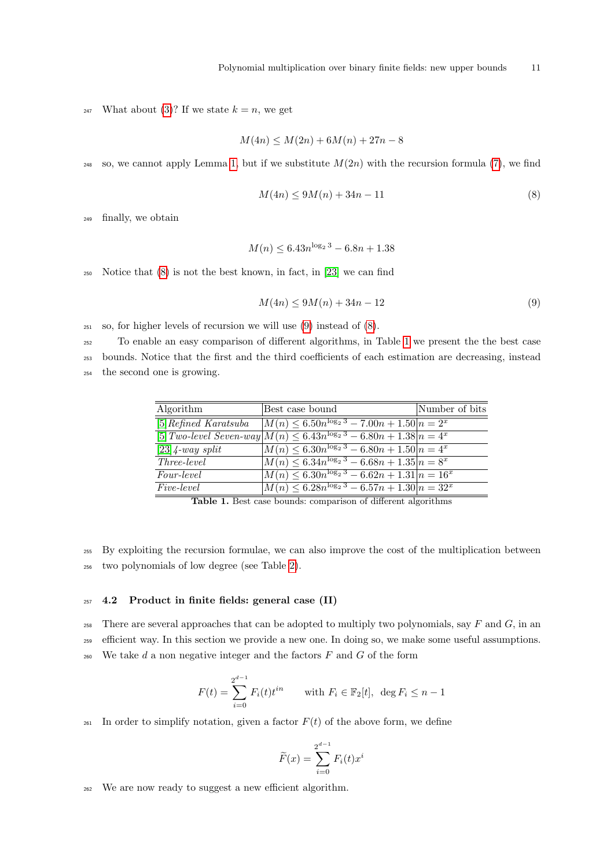<sup>247</sup> What about [\(3\)](#page-5-1)? If we state  $k = n$ , we get

$$
M(4n) \le M(2n) + 6M(n) + 27n - 8
$$

<sup>248</sup> so, we cannot apply Lemma [1,](#page-6-1) but if we substitute  $M(2n)$  with the recursion formula [\(7\)](#page-9-0), we find

<span id="page-10-0"></span>
$$
M(4n) \le 9M(n) + 34n - 11\tag{8}
$$

<sup>249</sup> finally, we obtain

$$
M(n) \le 6.43n^{\log_2 3} - 6.8n + 1.38
$$

250 Notice that  $(8)$  is not the best known, in fact, in [\[23\]](#page-19-22) we can find

<span id="page-10-1"></span>
$$
M(4n) \le 9M(n) + 34n - 12\tag{9}
$$

<sup>251</sup> so, for higher levels of recursion we will use [\(9\)](#page-10-1) instead of [\(8\)](#page-10-0).

<sup>252</sup> To enable an easy comparison of different algorithms, in Table [1](#page-10-2) we present the the best case

<sup>253</sup> bounds. Notice that the first and the third coefficients of each estimation are decreasing, instead <sup>254</sup> the second one is growing.

| Algorithm               | Best case bound                                                                 | Number of bits |
|-------------------------|---------------------------------------------------------------------------------|----------------|
| $[5] Refined$ Karatsuba | $\sqrt{M(n) \leq 6.50n^{\log_2 3} - 7.00n + 1.50} = 2^x$                        |                |
|                         | $[5] Two-level Seven-way   M(n) \leq 6.43n^{\log_2 3} - 6.80n + 1.38   n = 4^x$ |                |
| $[23]$ 4-way split      | $M(n) \leq 6.30n^{\log_2 3} - 6.80n + 1.50 n = 4^x$                             |                |
| <i>Three-level</i>      | $M(n) \leq 6.34n^{\log_2 3} - 6.68n + 1.35 n = 8^x$                             |                |
| <i>Four-level</i>       | $M(n) \leq 6.30n^{\log_2 3} - 6.62n + 1.31 \mid n = 16^x$                       |                |
| <i>Five-level</i>       | $M(n) \leq 6.28n^{\log_2 3} - 6.57n + 1.30\overline{n} = 32^x$                  |                |

<span id="page-10-2"></span>Table 1. Best case bounds: comparison of different algorithms

<sup>255</sup> By exploiting the recursion formulae, we can also improve the cost of the multiplication between <sup>256</sup> two polynomials of low degree (see Table [2\)](#page-11-0).

### <span id="page-10-3"></span> $257$  4.2 Product in finite fields: general case (II)

258 There are several approaches that can be adopted to multiply two polynomials, say  $F$  and  $G$ , in an <sup>259</sup> efficient way. In this section we provide a new one. In doing so, we make some useful assumptions.  $260$  We take d a non negative integer and the factors  $F$  and  $G$  of the form

$$
F(t) = \sum_{i=0}^{2^{d-1}} F_i(t) t^{in} \quad \text{with } F_i \in \mathbb{F}_2[t], \ \deg F_i \le n-1
$$

261 In order to simplify notation, given a factor  $F(t)$  of the above form, we define

$$
\widetilde{F}(x) = \sum_{i=0}^{2^{d-1}} F_i(t)x^i
$$

<sup>262</sup> We are now ready to suggest a new efficient algorithm.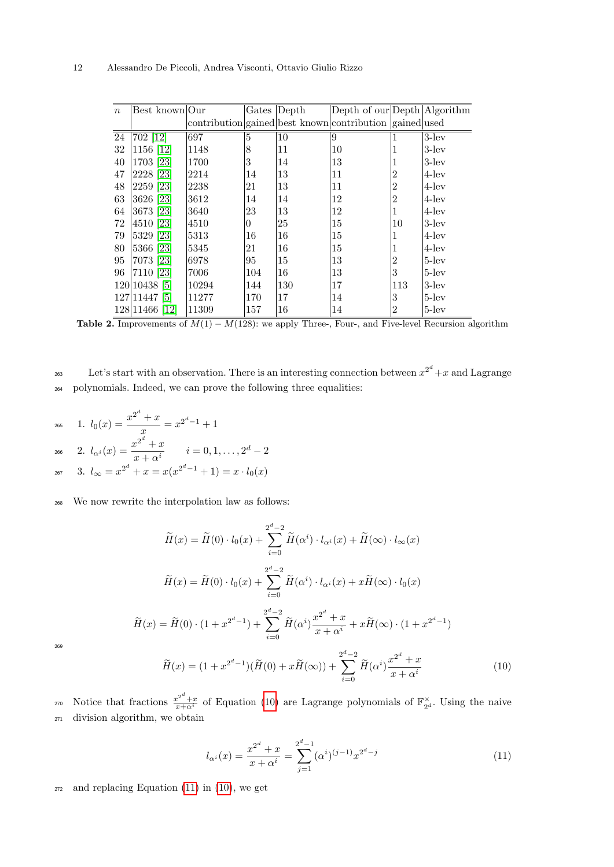| $\boldsymbol{n}$ | Best known Our |       |          | Gates Depth | Depth of our Depth Algorithm                            |                |          |
|------------------|----------------|-------|----------|-------------|---------------------------------------------------------|----------------|----------|
|                  |                |       |          |             | contribution gained best known contribution gained used |                |          |
| $\overline{24}$  | 702 12         | 697   | 5        | 10          | 9                                                       |                | $3$ -lev |
| 32               | 1156 [12]      | 1148  | 8        | 11          | 10                                                      |                | $3$ -lev |
| 40               | 1703 [23]      | 1700  | 3        | 14          | 13                                                      |                | $3$ -lev |
| 47               | 2228 [23]      | 2214  | 14       | 13          | 11                                                      | $\overline{2}$ | $4$ -lev |
| 48               | 2259 [23]      | 2238  | 21       | 13          | 11                                                      | $\overline{2}$ | $4$ -lev |
| 63               | 3626 [23]      | 3612  | 14       | 14          | 12                                                      | $\overline{2}$ | $4$ -lev |
| 64               | 3673 [23]      | 3640  | 23       | 13          | 12                                                      |                | $4$ -lev |
| 72               | 4510 [23]      | 4510  | $\theta$ | 25          | 15                                                      | 10             | $3$ -lev |
| 79               | 5329 [23]      | 5313  | 16       | 16          | 15                                                      |                | $4$ -lev |
| 80               | 5366 [23]      | 5345  | 21       | 16          | 15                                                      |                | $4$ -lev |
| 95               | 7073 [23]      | 6978  | 95       | 15          | 13                                                      | $\overline{2}$ | $5$ -lev |
| 96               | 7110 [23]      | 7006  | 104      | 16          | 13                                                      | 3              | $5$ -lev |
|                  | 120 10438 5    | 10294 | 144      | 130         | 17                                                      | 113            | $3$ -lev |
|                  | 127 11447 5    | 11277 | 170      | 17          | 14                                                      | 3              | $5$ -lev |
|                  | 128 11466 [12] | 11309 | 157      | 16          | 14                                                      | $\overline{2}$ | $5$ -lev |

<span id="page-11-0"></span>

Let's start with an observation. There is an interesting connection between  $x^{2^d} + x$  and Lagrange <sup>264</sup> polynomials. Indeed, we can prove the following three equalities:

265 1. 
$$
l_0(x) = \frac{x^{2^d} + x}{x} = x^{2^d - 1} + 1
$$
  
\n266 2.  $l_{\alpha^i}(x) = \frac{x^{2^d} + x}{x + \alpha^i}$   $i = 0, 1, ..., 2^d - 2$   
\n267 3.  $l_{\infty} = x^{2^d} + x = x(x^{2^d - 1} + 1) = x \cdot l_0(x)$ 

<sup>268</sup> We now rewrite the interpolation law as follows:

$$
\widetilde{H}(x) = \widetilde{H}(0) \cdot l_0(x) + \sum_{i=0}^{2^d - 2} \widetilde{H}(\alpha^i) \cdot l_{\alpha^i}(x) + \widetilde{H}(\infty) \cdot l_{\infty}(x)
$$
\n
$$
\widetilde{H}(x) = \widetilde{H}(0) \cdot l_0(x) + \sum_{i=0}^{2^d - 2} \widetilde{H}(\alpha^i) \cdot l_{\alpha^i}(x) + x \widetilde{H}(\infty) \cdot l_0(x)
$$
\n
$$
\widetilde{H}(x) = \widetilde{H}(0) \cdot (1 + x^{2^d - 1}) + \sum_{i=0}^{2^d - 2} \widetilde{H}(\alpha^i) \frac{x^{2^d} + x}{x + \alpha^i} + x \widetilde{H}(\infty) \cdot (1 + x^{2^d - 1})
$$
\n
$$
\widetilde{H}(x) = (1 + x^{2^d - 1})(\widetilde{H}(0) + x \widetilde{H}(\infty)) + \sum_{i=0}^{2^d - 2} \widetilde{H}(\alpha^i) \frac{x^{2^d} + x}{x^d}
$$
\n(10)

269

<span id="page-11-1"></span>
$$
\widetilde{H}(x) = (1 + x^{2^d - 1})(\widetilde{H}(0) + x\widetilde{H}(\infty)) + \sum_{i=0}^{2^d - 2} \widetilde{H}(\alpha^i) \frac{x^{2^d} + x}{x + \alpha^i}
$$
\n(10)

270 Notice that fractions  $\frac{x^{2^d}+x}{x+\alpha^i}$  of Equation [\(10\)](#page-11-1) are Lagrange polynomials of  $\mathbb{F}_{2^d}^{\times}$ . Using the naive <sup>271</sup> division algorithm, we obtain

<span id="page-11-2"></span>
$$
l_{\alpha^{i}}(x) = \frac{x^{2^{d}} + x}{x + \alpha^{i}} = \sum_{j=1}^{2^{d}-1} (\alpha^{i})^{(j-1)} x^{2^{d}-j}
$$
(11)

<sup>272</sup> and replacing Equation [\(11\)](#page-11-2) in [\(10\)](#page-11-1), we get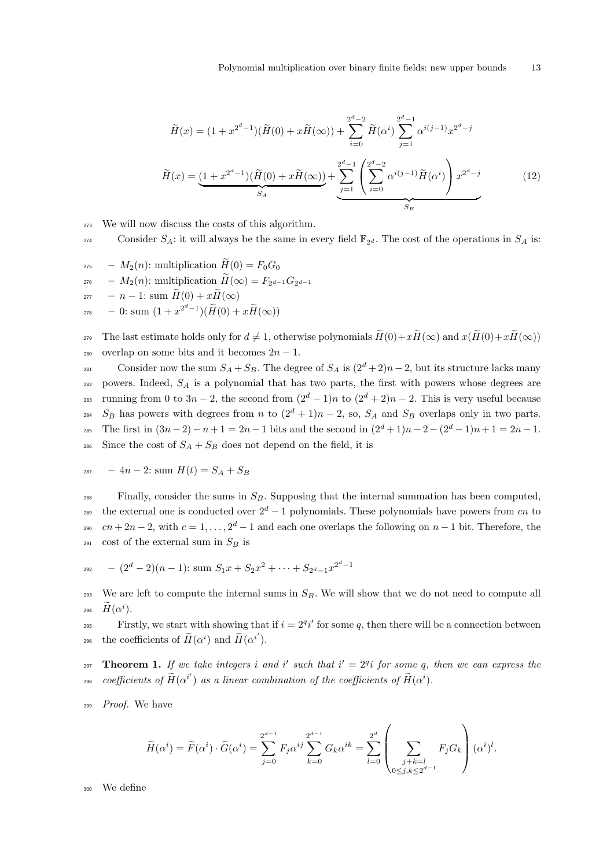<span id="page-12-0"></span>
$$
\widetilde{H}(x) = (1 + x^{2^d - 1})(\widetilde{H}(0) + x\widetilde{H}(\infty)) + \sum_{i=0}^{2^d - 2} \widetilde{H}(\alpha^i) \sum_{j=1}^{2^d - 1} \alpha^{i(j-1)} x^{2^d - j}
$$
\n
$$
\widetilde{H}(x) = \underbrace{(1 + x^{2^d - 1})(\widetilde{H}(0) + x\widetilde{H}(\infty))}_{SA} + \underbrace{\sum_{j=1}^{2^d - 1} \left(\sum_{i=0}^{2^d - 2} \alpha^{i(j-1)} \widetilde{H}(\alpha^i)\right) x^{2^d - j}}_{S_B} \tag{12}
$$

- <sup>273</sup> We will now discuss the costs of this algorithm.
- Consider  $S_A$ : it will always be the same in every field  $\mathbb{F}_{2^d}$ . The cost of the operations in  $S_A$  is:
- <sup>275</sup>  $M_2(n)$ : multiplication  $H(0) = F_0G_0$ <sup>276</sup> -  $M_2(n)$ : multiplication  $H(\infty) = F_{2^{d-1}}G_{2^{d-1}}$  $277 - n - 1$ : sum  $\widetilde{H}(0) + x\widetilde{H}(\infty)$ 278 – 0: sum  $(1+x^{2^d-1})(\widetilde{H}(0)+x\widetilde{H}(\infty))$

279 The last estimate holds only for  $d \neq 1$ , otherwise polynomials  $\widetilde{H}(0)+x\widetilde{H}(\infty)$  and  $x(\widetilde{H}(0)+x\widetilde{H}(\infty))$ 280 overlap on some bits and it becomes  $2n - 1$ .

Consider now the sum  $S_A + S_B$ . The degree of  $S_A$  is  $(2<sup>d</sup> + 2)n - 2$ , but its structure lacks many  $282$  powers. Indeed,  $S_A$  is a polynomial that has two parts, the first with powers whose degrees are <sup>283</sup> running from 0 to 3n – 2, the second from  $(2<sup>d</sup> - 1)n$  to  $(2<sup>d</sup> + 2)n - 2$ . This is very useful because <sup>284</sup> S<sub>B</sub> has powers with degrees from n to  $(2^d + 1)n - 2$ , so, S<sub>A</sub> and S<sub>B</sub> overlaps only in two parts. 285 The first in  $(3n-2)-n+1=2n-1$  bits and the second in  $(2^d+1)n-2-(2^d-1)n+1=2n-1$ . <sup>286</sup> Since the cost of  $S_A + S_B$  does not depend on the field, it is

$$
287 - 4n - 2: sum H(t) = S_A + S_B
$$

 $F_{288}$  Finally, consider the sums in  $S_B$ . Supposing that the internal summation has been computed, the external one is conducted over  $2^d - 1$  polynomials. These polynomials have powers from cn to <sup>290</sup>  $cn + 2n - 2$ , with  $c = 1, ..., 2<sup>d</sup> - 1$  and each one overlaps the following on  $n - 1$  bit. Therefore, the <sup>291</sup> cost of the external sum in  $S_B$  is

$$
_{292} \, - (2^d - 2)(n - 1) \, \text{sum } S_1 x + S_2 x^2 + \dots + S_{2^d - 1} x^{2^d - 1}
$$

293 We are left to compute the internal sums in  $S_B$ . We will show that we do not need to compute all 294  $\widetilde{H}(\alpha^i)$ .

Firstly, we start with showing that if  $i = 2^q i'$  for some q, then there will be a connection between 296 the coefficients of  $\widetilde{H}(\alpha^i)$  and  $\widetilde{H}(\alpha^{i'})$ .

297 **Theorem 1.** If we take integers i and i' such that  $i' = 2^{q_i}$  for some q, then we can express the  $\text{coefficients of } \widetilde{H}(\alpha^{i'}) \text{ as a linear combination of the coefficients of } \widetilde{H}(\alpha^{i}).$ 

<sup>299</sup> Proof. We have

$$
\widetilde{H}(\alpha^i) = \widetilde{F}(\alpha^i) \cdot \widetilde{G}(\alpha^i) = \sum_{j=0}^{2^{d-1}} F_j \alpha^{ij} \sum_{k=0}^{2^{d-1}} G_k \alpha^{ik} = \sum_{l=0}^{2^d} \left( \sum_{\substack{j+k=l \ 0 \le j,k \le 2^{d-1}}} F_j G_k \right) (\alpha^i)^l.
$$

We define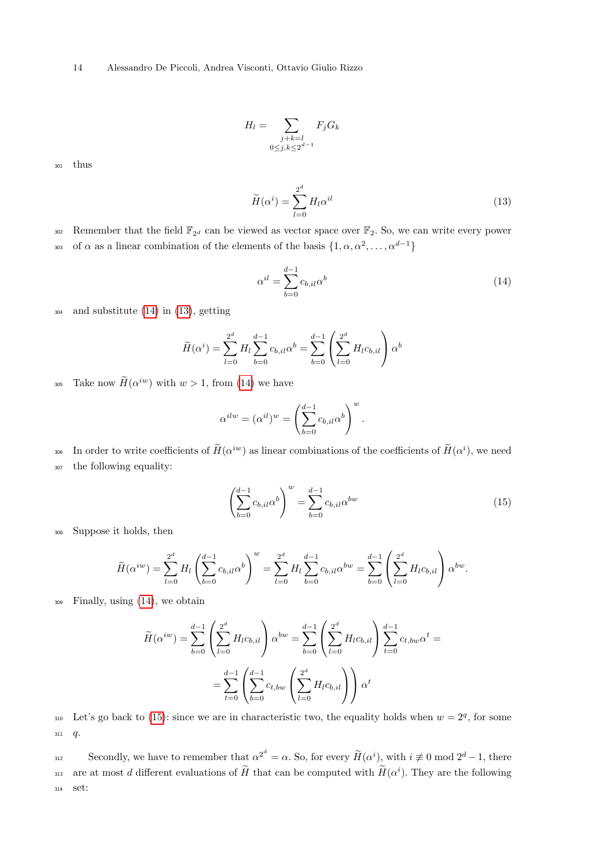14 Alessandro De Piccoli, Andrea Visconti, Ottavio Giulio Rizzo

$$
H_l = \sum_{\substack{j+k=l \ 0 \le j,k \le 2^{d-1}}} F_j G_k
$$

<sup>301</sup> thus

<span id="page-13-1"></span>
$$
\widetilde{H}(\alpha^i) = \sum_{l=0}^{2^d} H_l \alpha^{il} \tag{13}
$$

302 Remember that the field  $\mathbb{F}_{2^d}$  can be viewed as vector space over  $\mathbb{F}_2$ . So, we can write every power 303 of  $\alpha$  as a linear combination of the elements of the basis  $\{1, \alpha, \alpha^2, \ldots, \alpha^{d-1}\}\$ 

<span id="page-13-0"></span>
$$
\alpha^{il} = \sum_{b=0}^{d-1} c_{b,il} \alpha^b \tag{14}
$$

<sup>304</sup> and substitute [\(14\)](#page-13-0) in [\(13\)](#page-13-1), getting

$$
\widetilde{H}(\alpha^i) = \sum_{l=0}^{2^d} H_l \sum_{b=0}^{d-1} c_{b,il} \alpha^b = \sum_{b=0}^{d-1} \left( \sum_{l=0}^{2^d} H_l c_{b,il} \right) \alpha^b
$$

305 Take now  $H(\alpha^{iw})$  with  $w > 1$ , from [\(14\)](#page-13-0) we have

$$
\alpha^{ilw} = (\alpha^{il})^w = \left(\sum_{b=0}^{d-1} c_{b,il} \alpha^b\right)^w.
$$

306 In order to write coefficients of  $H(\alpha^{iw})$  as linear combinations of the coefficients of  $H(\alpha^i)$ , we need <sup>307</sup> the following equality:

<span id="page-13-2"></span>
$$
\left(\sum_{b=0}^{d-1} c_{b,il} \alpha^b\right)^w = \sum_{b=0}^{d-1} c_{b,il} \alpha^{bw} \tag{15}
$$

<sup>308</sup> Suppose it holds, then

$$
\widetilde{H}(\alpha^{iw}) = \sum_{l=0}^{2^d} H_l \left( \sum_{b=0}^{d-1} c_{b,il} \alpha^b \right)^w = \sum_{l=0}^{2^d} H_l \sum_{b=0}^{d-1} c_{b,il} \alpha^{bw} = \sum_{b=0}^{d-1} \left( \sum_{l=0}^{2^d} H_l c_{b,il} \right) \alpha^{bw}.
$$

<sup>309</sup> Finally, using [\(14\)](#page-13-0), we obtain

$$
\widetilde{H}(\alpha^{iw}) = \sum_{b=0}^{d-1} \left( \sum_{l=0}^{2^d} H_l c_{b,il} \right) \alpha^{bw} = \sum_{b=0}^{d-1} \left( \sum_{l=0}^{2^d} H_l c_{b,il} \right) \sum_{t=0}^{d-1} c_{t,bw} \alpha^t =
$$
\n
$$
= \sum_{t=0}^{d-1} \left( \sum_{b=0}^{d-1} c_{t,bw} \left( \sum_{l=0}^{2^d} H_l c_{b,il} \right) \right) \alpha^t
$$

 $Let's go back to (15):$  $Let's go back to (15):$  $Let's go back to (15):$  since we are in characteristic two, the equality holds when  $w = 2<sup>q</sup>$ , for some  $311 \, q.$ 

Secondly, we have to remember that  $\alpha^{2^d} = \alpha$ . So, for every  $\widetilde{H}(\alpha^i)$ , with  $i \not\equiv 0 \mod 2^d - 1$ , there are at most d different evaluations of  $\tilde{H}$  that can be computed with  $\tilde{H}(\alpha^i)$ . They are the following <sup>314</sup> set: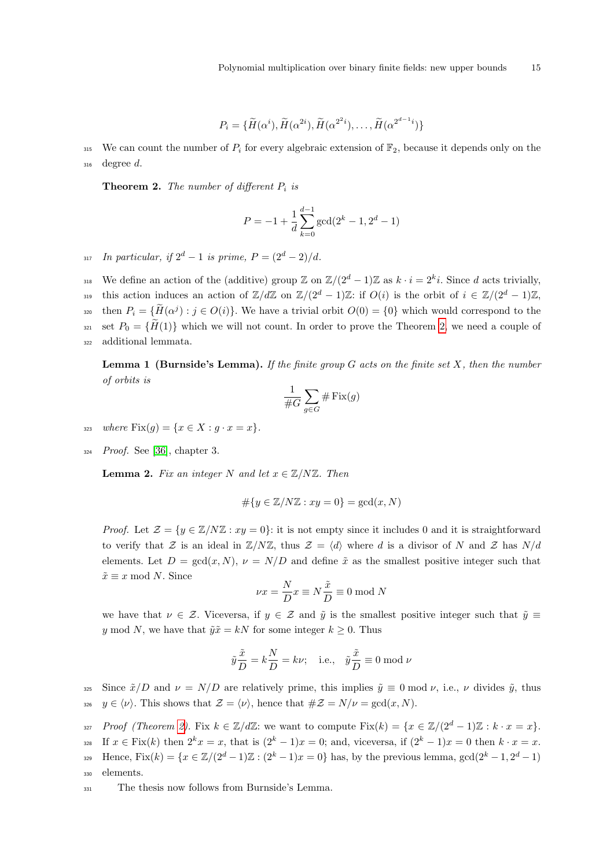$$
P_i = \{ \widetilde{H}(\alpha^{i}), \widetilde{H}(\alpha^{2i}), \widetilde{H}(\alpha^{2^{i}}), \dots, \widetilde{H}(\alpha^{2^{d-1}i}) \}
$$

315 We can count the number of  $P_i$  for every algebraic extension of  $\mathbb{F}_2$ , because it depends only on the  $316$  degree d.

<span id="page-14-0"></span>**Theorem 2.** The number of different  $P_i$  is

$$
P = -1 + \frac{1}{d} \sum_{k=0}^{d-1} \gcd(2^k - 1, 2^d - 1)
$$

317 In particular, if  $2^d - 1$  is prime,  $P = (2^d - 2)/d$ .

318 We define an action of the (additive) group  $\mathbb{Z}$  on  $\mathbb{Z}/(2^d-1)\mathbb{Z}$  as  $k \cdot i = 2^k i$ . Since d acts trivially, this action induces an action of  $\mathbb{Z}/d\mathbb{Z}$  on  $\mathbb{Z}/(2^d-1)\mathbb{Z}$ : if  $O(i)$  is the orbit of  $i \in \mathbb{Z}/(2^d-1)\mathbb{Z}$ ,  $B_{i}$  then  $P_i = \{ \widetilde{H}(\alpha^j) : j \in O(i) \}$ . We have a trivial orbit  $O(0) = \{0\}$  which would correspond to the 321 set  $P_0 = \{H(1)\}\$  which we will not count. In order to prove the Theorem [2,](#page-14-0) we need a couple of <sup>322</sup> additional lemmata.

**Lemma 1 (Burnside's Lemma).** If the finite group  $G$  acts on the finite set  $X$ , then the number of orbits is

$$
\frac{1}{\#G}\sum_{g\in G}\#\operatorname{Fix}(g)
$$

- 323 where  $Fix(g) = \{x \in X : g \cdot x = x\}.$
- $324$  *Proof.* See [\[36\]](#page-20-6), chapter 3.

**Lemma 2.** Fix an integer N and let  $x \in \mathbb{Z}/N\mathbb{Z}$ . Then

$$
\#\{y \in \mathbb{Z}/N\mathbb{Z} : xy = 0\} = \gcd(x, N)
$$

*Proof.* Let  $\mathcal{Z} = \{y \in \mathbb{Z}/N\mathbb{Z} : xy = 0\}$ : it is not empty since it includes 0 and it is straightforward to verify that Z is an ideal in  $\mathbb{Z}/N\mathbb{Z}$ , thus  $\mathcal{Z} = \langle d \rangle$  where d is a divisor of N and Z has N/d elements. Let  $D = \gcd(x, N)$ ,  $\nu = N/D$  and define  $\tilde{x}$  as the smallest positive integer such that  $\tilde{x} \equiv x \mod N$ . Since

$$
\nu x = \frac{N}{D} x \equiv N \frac{\tilde{x}}{D} \equiv 0 \mod N
$$

we have that  $\nu \in \mathcal{Z}$ . Viceversa, if  $y \in \mathcal{Z}$  and  $\tilde{y}$  is the smallest positive integer such that  $\tilde{y} \equiv$ y mod N, we have that  $\tilde{y}\tilde{x} = kN$  for some integer  $k \geq 0$ . Thus

$$
\tilde{y}\frac{\tilde{x}}{D} = k\frac{N}{D} = k\nu;
$$
 i.e.,  $\tilde{y}\frac{\tilde{x}}{D} \equiv 0 \mod \nu$ 

325 Since  $\tilde{x}/D$  and  $\nu = N/D$  are relatively prime, this implies  $\tilde{y} \equiv 0 \mod \nu$ , i.e.,  $\nu$  divides  $\tilde{y}$ , thus

- 326  $y \in \langle \nu \rangle$ . This shows that  $\mathcal{Z} = \langle \nu \rangle$ , hence that  $\#\mathcal{Z} = N/\nu = \gcd(x, N)$ .
- 327 Proof (Theorem [2\)](#page-14-0). Fix  $k \in \mathbb{Z}/d\mathbb{Z}$ : we want to compute  $Fix(k) = \{x \in \mathbb{Z}/(2^d-1)\mathbb{Z} : k \cdot x = x\}.$

328 If  $x \in \text{Fix}(k)$  then  $2^k x = x$ , that is  $(2^k - 1)x = 0$ ; and, viceversa, if  $(2^k - 1)x = 0$  then  $k \cdot x = x$ .  $Hence, Fix(k) = \{x \in \mathbb{Z}/(2^d-1)\mathbb{Z} : (2^k-1)x = 0\}$  has, by the previous lemma,  $gcd(2^k-1, 2^d-1)$ 

- <sup>330</sup> elements.
- <sup>331</sup> The thesis now follows from Burnside's Lemma.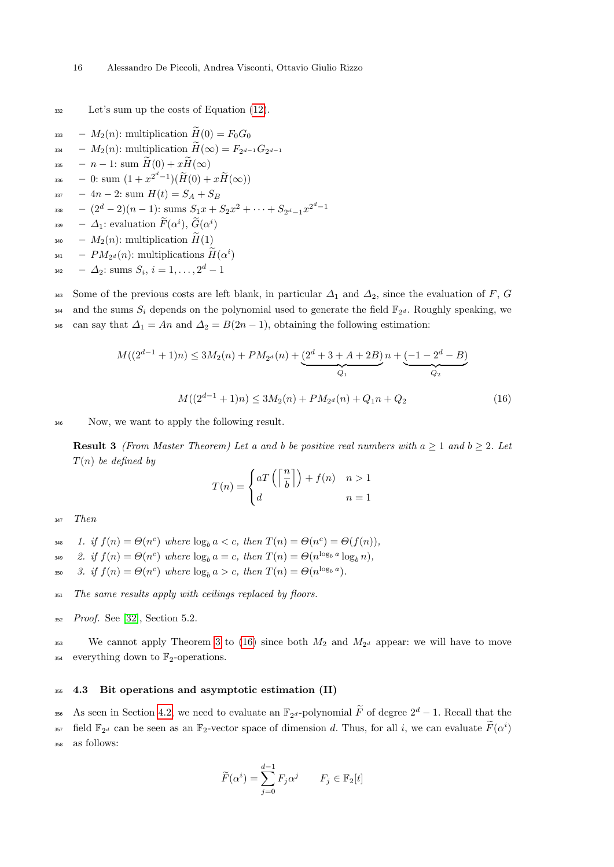<sup>332</sup> Let's sum up the costs of Equation [\(12\)](#page-12-0).

<sup>333</sup> –  $M_2(n)$ : multiplication  $\widetilde{H}(0) = F_0G_0$  $\begin{array}{rcl} \mathcal{A}_{334} & -M_2(n) \colon \text{multiplication } H(\infty) = F_{2^{d-1}} G_{2^{d-1}} \end{array}$ 335 –  $n-1$ : sum  $\widetilde{H}(0) + x\widetilde{H}(\infty)$ 336 – 0: sum  $(1+x^{2^d-1})(\widetilde{H}(0)+x\widetilde{H}(\infty))$  $337 - 4n - 2$ : sum  $H(t) = S_A + S_B$  $- (2<sup>d</sup> – 2)(n – 1): sums S<sub>1</sub>x + S<sub>2</sub>x<sup>2</sup> + ··· + S<sub>2<sup>d</sup> – 1</sub>x<sup>2<sup>d</sup> – 1</sup>$ 338  $\hspace{0.1 cm} \Delta_1 \colon \text{evaluation} \; \widetilde{F}(\alpha^i), \, \widetilde{\tilde{G}}(\alpha^i)$  $_{340}$  –  $M_2(n)$ : multiplication  $H(1)$  $_{341}$  –  $PM_{2^d}(n)$ : multiplications  $H(\alpha^i)$  $_{{}^{342}}$   $- \Delta_{2}$ : sums  $S_{i}, i = 1, \ldots, 2^{d} - 1$ 

343 Some of the previous costs are left blank, in particular  $\Delta_1$  and  $\Delta_2$ , since the evaluation of F, G and the sums  $S_i$  depends on the polynomial used to generate the field  $\mathbb{F}_{2^d}$ . Roughly speaking, we <sup>345</sup> can say that  $\Delta_1 = An$  and  $\Delta_2 = B(2n-1)$ , obtaining the following estimation:

<span id="page-15-1"></span>
$$
M((2^{d-1}+1)n) \le 3M_2(n) + PM_{2d}(n) + \underbrace{(2^d+3+A+2B)}_{Q_1}n + \underbrace{(-1-2^d-B)}_{Q_2}
$$

$$
M((2^{d-1}+1)n) \le 3M_2(n) + PM_{2d}(n) + Q_1n + Q_2
$$
(16)

<sup>346</sup> Now, we want to apply the following result.

<span id="page-15-0"></span>**Result 3** (From Master Theorem) Let a and b be positive real numbers with  $a \geq 1$  and  $b \geq 2$ . Let  $T(n)$  be defined by

$$
T(n) = \begin{cases} aT\left(\left\lceil \frac{n}{b} \right\rceil\right) + f(n) & n > 1 \\ d & n = 1 \end{cases}
$$

<sup>347</sup> Then

- 348 1. if  $f(n) = \Theta(n^c)$  where  $\log_b a < c$ , then  $T(n) = \Theta(n^c) = \Theta(f(n)),$
- <sup>349</sup> 2. if  $f(n) = \Theta(n^c)$  where  $\log_b a = c$ , then  $T(n) = \Theta(n^{\log_b a} \log_b n)$ ,
- 350 3. if  $f(n) = \Theta(n^c)$  where  $\log_b a > c$ , then  $T(n) = \Theta(n^{\log_b a})$ .
- <sup>351</sup> The same results apply with ceilings replaced by floors.
- <sup>352</sup> Proof. See [\[32\]](#page-20-7), Section 5.2.

<sup>353</sup> We cannot apply Theorem [3](#page-15-0) to [\(16\)](#page-15-1) since both  $M_2$  and  $M_{2^d}$  appear: we will have to move <sup>354</sup> everything down to  $\mathbb{F}_2$ -operations.

#### <sup>355</sup> 4.3 Bit operations and asymptotic estimation (II)

<sup>356</sup> As seen in Section [4.2,](#page-10-3) we need to evaluate an  $\mathbb{F}_{2^d}$ -polynomial  $\widetilde{F}$  of degree  $2^d - 1$ . Recall that the <sup>357</sup> field  $\mathbb{F}_{2^d}$  can be seen as an  $\mathbb{F}_2$ -vector space of dimension d. Thus, for all i, we can evaluate  $\widetilde{F}(\alpha^i)$ <sup>358</sup> as follows:

$$
\widetilde{F}(\alpha^i) = \sum_{j=0}^{d-1} F_j \alpha^j \qquad F_j \in \mathbb{F}_2[t]
$$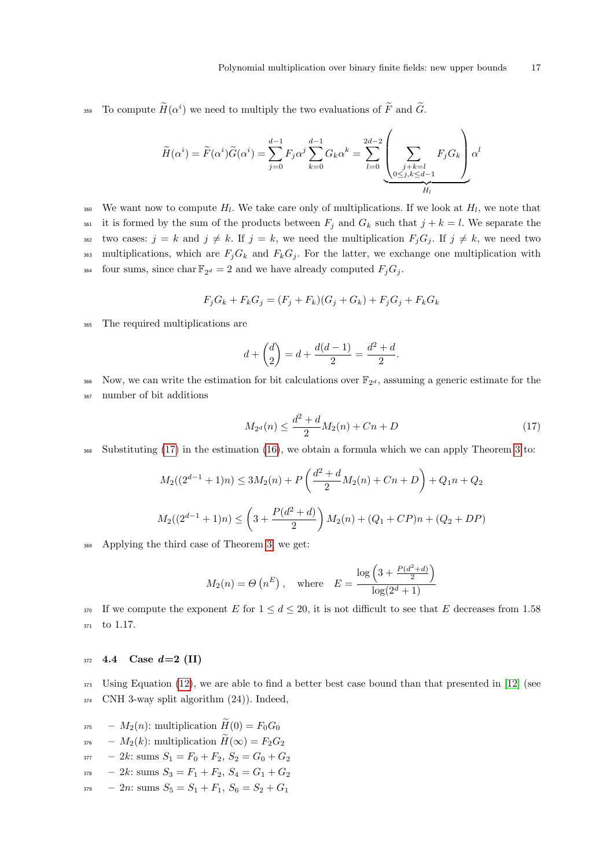359 To compute  $H(\alpha^i)$  we need to multiply the two evaluations of  $\tilde{F}$  and  $\tilde{G}$ .

$$
\widetilde{H}(\alpha^i) = \widetilde{F}(\alpha^i)\widetilde{G}(\alpha^i) = \sum_{j=0}^{d-1} F_j \alpha^j \sum_{k=0}^{d-1} G_k \alpha^k = \sum_{l=0}^{2d-2} \left( \sum_{\substack{j+k=l \ 0 \le j,k \le d-1}} F_j G_k \right) \alpha^l
$$

 $_{360}$  We want now to compute  $H_l$ . We take care only of multiplications. If we look at  $H_l$ , we note that 361 it is formed by the sum of the products between  $F_j$  and  $G_k$  such that  $j + k = l$ . We separate the 362 two cases:  $j = k$  and  $j \neq k$ . If  $j = k$ , we need the multiplication  $F_jG_j$ . If  $j \neq k$ , we need two 363 multiplications, which are  $F_jG_k$  and  $F_kG_j$ . For the latter, we exchange one multiplication with <sup>364</sup> four sums, since char  $\mathbb{F}_{2^d} = 2$  and we have already computed  $F_jG_j$ .

$$
F_j G_k + F_k G_j = (F_j + F_k)(G_j + G_k) + F_j G_j + F_k G_k
$$

<sup>365</sup> The required multiplications are

$$
d + \binom{d}{2} = d + \frac{d(d-1)}{2} = \frac{d^2 + d}{2}.
$$

Now, we can write the estimation for bit calculations over  $\mathbb{F}_{2^d}$ , assuming a generic estimate for the <sup>367</sup> number of bit additions

<span id="page-16-0"></span>
$$
M_{2^d}(n) \le \frac{d^2 + d}{2} M_2(n) + Cn + D \tag{17}
$$

<sup>368</sup> Substituting [\(17\)](#page-16-0) in the estimation [\(16\)](#page-15-1), we obtain a formula which we can apply Theorem [3](#page-15-0) to:

$$
M_2((2^{d-1}+1)n) \le 3M_2(n) + P\left(\frac{d^2+d}{2}M_2(n) + Cn + D\right) + Q_1n + Q_2
$$
  

$$
M_2((2^{d-1}+1)n) \le \left(3 + \frac{P(d^2+d)}{2}\right)M_2(n) + (Q_1 + CP)n + (Q_2 + DP)
$$

<sup>369</sup> Applying the third case of Theorem [3,](#page-15-0) we get:

$$
M_2(n) = \Theta\left(n^E\right)
$$
, where  $E = \frac{\log\left(3 + \frac{P(d^2 + d)}{2}\right)}{\log(2^d + 1)}$ 

370 If we compute the exponent E for  $1 \leq d \leq 20$ , it is not difficult to see that E decreases from 1.58 <sup>371</sup> to 1.17.

## $_{372}$  4.4 Case  $d=2$  (II)

 $373$  Using Equation [\(12\)](#page-12-0), we are able to find a better best case bound than that presented in [\[12\]](#page-19-4) (see <sup>374</sup> CNH 3-way split algorithm (24)). Indeed,

- $_{375}$   $M_2(n)$ : multiplication  $\widetilde{H}(0) = F_0G_0$
- <sup>376</sup>  $M_2(k)$ : multiplication  $\widetilde{H}(\infty) = F_2G_2$
- $377 2k$ : sums  $S_1 = F_0 + F_2$ ,  $S_2 = G_0 + G_2$
- $378 2k$ : sums  $S_3 = F_1 + F_2$ ,  $S_4 = G_1 + G_2$
- $379 2n$ : sums  $S_5 = S_1 + F_1, S_6 = S_2 + G_1$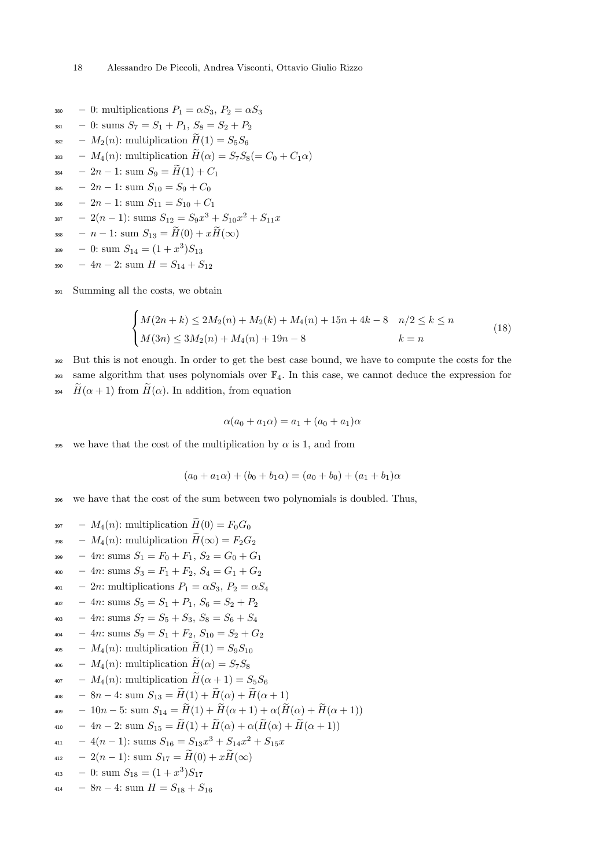- 380 0: multiplications  $P_1 = \alpha S_3$ ,  $P_2 = \alpha S_3$
- $s_{381}$  0: sums  $S_7 = S_1 + P_1$ ,  $S_8 = S_2 + P_2$
- <sup>382</sup>  $M_2(n)$ : multiplication  $H(1) = S_5S_6$
- <sup>383</sup>  $M_4(n)$ : multiplication  $\widetilde{H}(\alpha) = S_7S_8(= C_0 + C_1\alpha)$
- 384 2n 1: sum  $S_9 = \widetilde{H}(1) + C_1$
- 385 2n 1: sum  $S_{10} = S_9 + C_0$
- 386 2n 1: sum  $S_{11} = S_{10} + C_1$
- 387 2(n 1): sums  $S_{12} = S_9 x^3 + S_{10} x^2 + S_{11} x$
- 388 n 1: sum  $S_{13} = \widetilde{H}(0) + x\widetilde{H}(\infty)$
- 0: sum S<sup>14</sup> = (1 + x 3 <sup>389</sup> )S<sup>13</sup>
- 390  $4n-2$ : sum  $H = S_{14} + S_{12}$

<sup>391</sup> Summing all the costs, we obtain

<span id="page-17-0"></span>
$$
\begin{cases} M(2n+k) \le 2M_2(n) + M_2(k) + M_4(n) + 15n + 4k - 8 & n/2 \le k \le n \\ M(3n) \le 3M_2(n) + M_4(n) + 19n - 8 & k = n \end{cases}
$$
(18)

<sup>392</sup> But this is not enough. In order to get the best case bound, we have to compute the costs for the 393 same algorithm that uses polynomials over  $\mathbb{F}_4$ . In this case, we cannot deduce the expression for 394  $\hat{H}(\alpha+1)$  from  $\hat{H}(\alpha)$ . In addition, from equation

$$
\alpha(a_0 + a_1\alpha) = a_1 + (a_0 + a_1)\alpha
$$

395 we have that the cost of the multiplication by  $\alpha$  is 1, and from

$$
(a_0 + a_1 \alpha) + (b_0 + b_1 \alpha) = (a_0 + b_0) + (a_1 + b_1)\alpha
$$

<sup>396</sup> we have that the cost of the sum between two polynomials is doubled. Thus,

- <sup>397</sup>  $M_4(n)$ : multiplication  $\widetilde{H}(0) = F_0G_0$
- <sup>398</sup>  $M_4(n)$ : multiplication  $\widetilde{H}(\infty) = F_2G_2$
- $399 4n: \text{sums } S_1 = F_0 + F_1, S_2 = G_0 + G_1$
- 400 4*n*: sums  $S_3 = F_1 + F_2$ ,  $S_4 = G_1 + G_2$
- $_{401}$  2n: multiplications  $P_1 = \alpha S_3$ ,  $P_2 = \alpha S_4$
- $_{402}$  4*n*: sums  $S_5 = S_1 + P_1$ ,  $S_6 = S_2 + P_2$
- $_{403}$  4*n*: sums  $S_7 = S_5 + S_3$ ,  $S_8 = S_6 + S_4$
- $_{404}$  4n: sums  $S_9 = S_1 + F_2, S_{10} = S_2 + G_2$
- $_{405}$   $M_4(n)$ : multiplication  $\widetilde{H}(1) = S_9S_{10}$
- $_{406}$   $M_4(n)$ : multiplication  $\widetilde{H}(\alpha) = S_7S_8$
- $_{407}$   $M_4(n)$ : multiplication  $\widetilde{H}(\alpha+1) = S_5S_6$
- 408 8n 4: sum  $S_{13} = \widetilde{H}(1) + \widetilde{H}(\alpha) + \widetilde{H}(\alpha + 1)$
- 409 10n 5: sum  $S_{14} = \widetilde{H}(1) + \widetilde{H}(\alpha + 1) + \alpha(\widetilde{H}(\alpha) + \widetilde{H}(\alpha + 1))$
- 410 4n 2: sum  $S_{15} = \widetilde{H}(1) + \widetilde{H}(\alpha) + \alpha(\widetilde{H}(\alpha) + \widetilde{H}(\alpha + 1))$
- $s_{411} 4(n-1)$ : sums  $S_{16} = S_{13}x^3 + S_{14}x^2 + S_{15}x$

$$
412 - 2(n-1): sum S_{17} = H(0) + xH(\infty)
$$

- 413 0: sum  $S_{18} = (1+x^3)S_{17}$
- $_{414}$   $8n-4$ : sum  $H = S_{18} + S_{16}$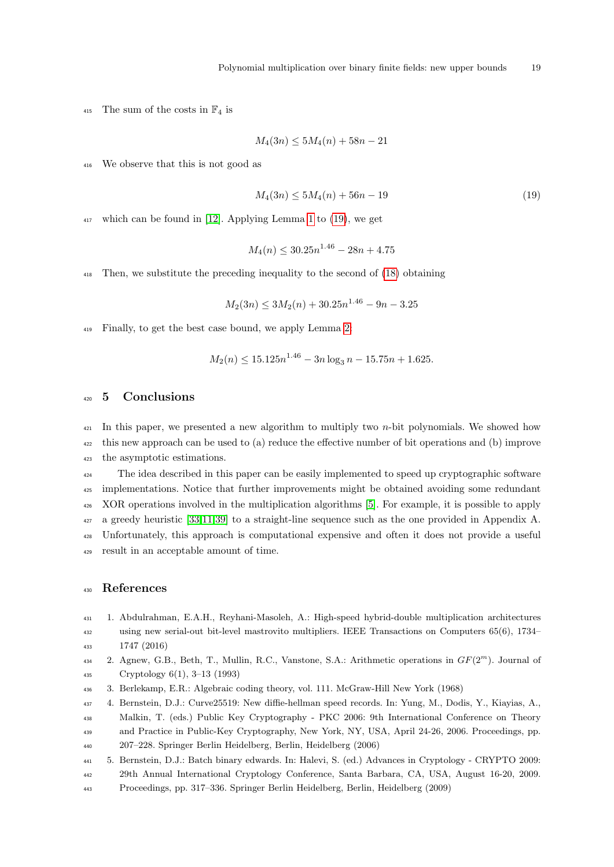<sup>415</sup> The sum of the costs in  $\mathbb{F}_4$  is

$$
M_4(3n) \le 5M_4(n) + 58n - 21
$$

We observe that this is not good as

<span id="page-18-6"></span>
$$
M_4(3n) \le 5M_4(n) + 56n - 19\tag{19}
$$

 $_{417}$  which can be found in [\[12\]](#page-19-4). Applying Lemma [1](#page-6-1) to [\(19\)](#page-18-6), we get

$$
M_4(n) \le 30.25n^{1.46} - 28n + 4.75
$$

Then, we substitute the preceding inequality to the second of [\(18\)](#page-17-0) obtaining

 $M_2(3n) \leq 3M_2(n) + 30.25n^{1.46} - 9n - 3.25$ 

Finally, to get the best case bound, we apply Lemma [2:](#page-6-2)

$$
M_2(n) \le 15.125n^{1.46} - 3n \log_3 n - 15.75n + 1.625.
$$

## <span id="page-18-5"></span>5 Conclusions

 $_{421}$  In this paper, we presented a new algorithm to multiply two *n*-bit polynomials. We showed how this new approach can be used to (a) reduce the effective number of bit operations and (b) improve the asymptotic estimations.

 The idea described in this paper can be easily implemented to speed up cryptographic software implementations. Notice that further improvements might be obtained avoiding some redundant XOR operations involved in the multiplication algorithms [\[5\]](#page-18-0). For example, it is possible to apply a greedy heuristic [\[33,](#page-20-8)[11](#page-19-20)[,39\]](#page-20-9) to a straight-line sequence such as the one provided in Appendix A. Unfortunately, this approach is computational expensive and often it does not provide a useful result in an acceptable amount of time.

## References

- <span id="page-18-3"></span> 1. Abdulrahman, E.A.H., Reyhani-Masoleh, A.: High-speed hybrid-double multiplication architectures using new serial-out bit-level mastrovito multipliers. IEEE Transactions on Computers 65(6), 1734– 1747 (2016)
- <span id="page-18-2"></span>2. Agnew, G.B., Beth, T., Mullin, R.C., Vanstone, S.A.: Arithmetic operations in  $GF(2<sup>m</sup>)$ . Journal of Cryptology 6(1), 3–13 (1993)
- <span id="page-18-1"></span>3. Berlekamp, E.R.: Algebraic coding theory, vol. 111. McGraw-Hill New York (1968)
- <span id="page-18-4"></span> 4. Bernstein, D.J.: Curve25519: New diffie-hellman speed records. In: Yung, M., Dodis, Y., Kiayias, A., Malkin, T. (eds.) Public Key Cryptography - PKC 2006: 9th International Conference on Theory and Practice in Public-Key Cryptography, New York, NY, USA, April 24-26, 2006. Proceedings, pp.
- 207–228. Springer Berlin Heidelberg, Berlin, Heidelberg (2006)
- <span id="page-18-0"></span> 5. Bernstein, D.J.: Batch binary edwards. In: Halevi, S. (ed.) Advances in Cryptology - CRYPTO 2009: 29th Annual International Cryptology Conference, Santa Barbara, CA, USA, August 16-20, 2009.
- Proceedings, pp. 317–336. Springer Berlin Heidelberg, Berlin, Heidelberg (2009)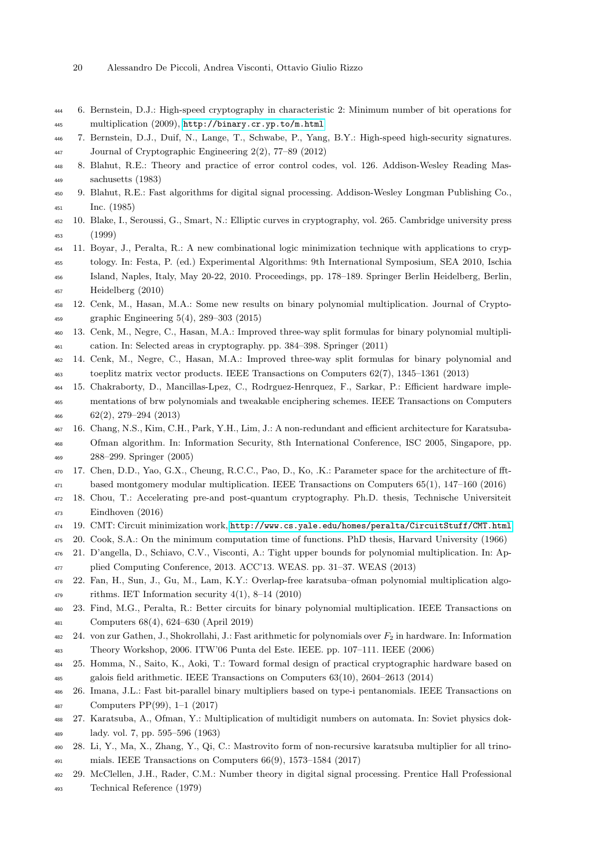- 20 Alessandro De Piccoli, Andrea Visconti, Ottavio Giulio Rizzo
- <span id="page-19-1"></span> 6. Bernstein, D.J.: High-speed cryptography in characteristic 2: Minimum number of bit operations for multiplication (2009), <http://binary.cr.yp.to/m.html>
- <span id="page-19-14"></span> 7. Bernstein, D.J., Duif, N., Lange, T., Schwabe, P., Yang, B.Y.: High-speed high-security signatures. Journal of Cryptographic Engineering 2(2), 77–89 (2012)
- <span id="page-19-7"></span> 8. Blahut, R.E.: Theory and practice of error control codes, vol. 126. Addison-Wesley Reading Mas-sachusetts (1983)
- <span id="page-19-6"></span> 9. Blahut, R.E.: Fast algorithms for digital signal processing. Addison-Wesley Longman Publishing Co., Inc. (1985)
- <span id="page-19-8"></span> 10. Blake, I., Seroussi, G., Smart, N.: Elliptic curves in cryptography, vol. 265. Cambridge university press (1999)
- <span id="page-19-20"></span> 11. Boyar, J., Peralta, R.: A new combinational logic minimization technique with applications to cryp-tology. In: Festa, P. (ed.) Experimental Algorithms: 9th International Symposium, SEA 2010, Ischia
- Island, Naples, Italy, May 20-22, 2010. Proceedings, pp. 178–189. Springer Berlin Heidelberg, Berlin, Heidelberg (2010)
- <span id="page-19-4"></span> 12. Cenk, M., Hasan, M.A.: Some new results on binary polynomial multiplication. Journal of Crypto-graphic Engineering 5(4), 289–303 (2015)
- <span id="page-19-21"></span> 13. Cenk, M., Negre, C., Hasan, M.A.: Improved three-way split formulas for binary polynomial multipli-cation. In: Selected areas in cryptography. pp. 384–398. Springer (2011)
- <span id="page-19-11"></span> 14. Cenk, M., Negre, C., Hasan, M.A.: Improved three-way split formulas for binary polynomial and toeplitz matrix vector products. IEEE Transactions on Computers 62(7), 1345–1361 (2013)
- <span id="page-19-10"></span> 15. Chakraborty, D., Mancillas-Lpez, C., Rodrguez-Henrquez, F., Sarkar, P.: Efficient hardware imple- mentations of brw polynomials and tweakable enciphering schemes. IEEE Transactions on Computers 62(2), 279–294 (2013)
- <span id="page-19-15"></span> 16. Chang, N.S., Kim, C.H., Park, Y.H., Lim, J.: A non-redundant and efficient architecture for Karatsuba- Ofman algorithm. In: Information Security, 8th International Conference, ISC 2005, Singapore, pp. 288–299. Springer (2005)
- 17. Chen, D.D., Yao, G.X., Cheung, R.C.C., Pao, D., Ko, .K.: Parameter space for the architecture of fft-based montgomery modular multiplication. IEEE Transactions on Computers 65(1), 147–160 (2016)
- <span id="page-19-0"></span> 18. Chou, T.: Accelerating pre-and post-quantum cryptography. Ph.D. thesis, Technische Universiteit Eindhoven (2016)
- <span id="page-19-2"></span>19. CMT: Circuit minimization work, <http://www.cs.yale.edu/homes/peralta/CircuitStuff/CMT.html>
- <span id="page-19-19"></span>20. Cook, S.A.: On the minimum computation time of functions. PhD thesis, Harvard University (1966)
- <span id="page-19-3"></span> 21. D'angella, D., Schiavo, C.V., Visconti, A.: Tight upper bounds for polynomial multiplication. In: Ap-plied Computing Conference, 2013. ACC'13. WEAS. pp. 31–37. WEAS (2013)
- <span id="page-19-17"></span> 22. Fan, H., Sun, J., Gu, M., Lam, K.Y.: Overlap-free karatsuba–ofman polynomial multiplication algo-<sup>479</sup> rithms. IET Information security  $4(1)$ ,  $8-14$   $(2010)$
- <span id="page-19-22"></span> 23. Find, M.G., Peralta, R.: Better circuits for binary polynomial multiplication. IEEE Transactions on Computers 68(4), 624–630 (April 2019)
- <span id="page-19-16"></span>482 24. von zur Gathen, J., Shokrollahi, J.: Fast arithmetic for polynomials over  $F_2$  in hardware. In: Information Theory Workshop, 2006. ITW'06 Punta del Este. IEEE. pp. 107–111. IEEE (2006)
- <span id="page-19-9"></span> 25. Homma, N., Saito, K., Aoki, T.: Toward formal design of practical cryptographic hardware based on galois field arithmetic. IEEE Transactions on Computers 63(10), 2604–2613 (2014)
- <span id="page-19-13"></span> 26. Imana, J.L.: Fast bit-parallel binary multipliers based on type-i pentanomials. IEEE Transactions on Computers PP(99), 1–1 (2017)
- <span id="page-19-18"></span> 27. Karatsuba, A., Ofman, Y.: Multiplication of multidigit numbers on automata. In: Soviet physics doklady. vol. 7, pp. 595–596 (1963)
- <span id="page-19-12"></span> 28. Li, Y., Ma, X., Zhang, Y., Qi, C.: Mastrovito form of non-recursive karatsuba multiplier for all trino-mials. IEEE Transactions on Computers 66(9), 1573–1584 (2017)
- <span id="page-19-5"></span>29. McClellen, J.H., Rader, C.M.: Number theory in digital signal processing. Prentice Hall Professional
- Technical Reference (1979)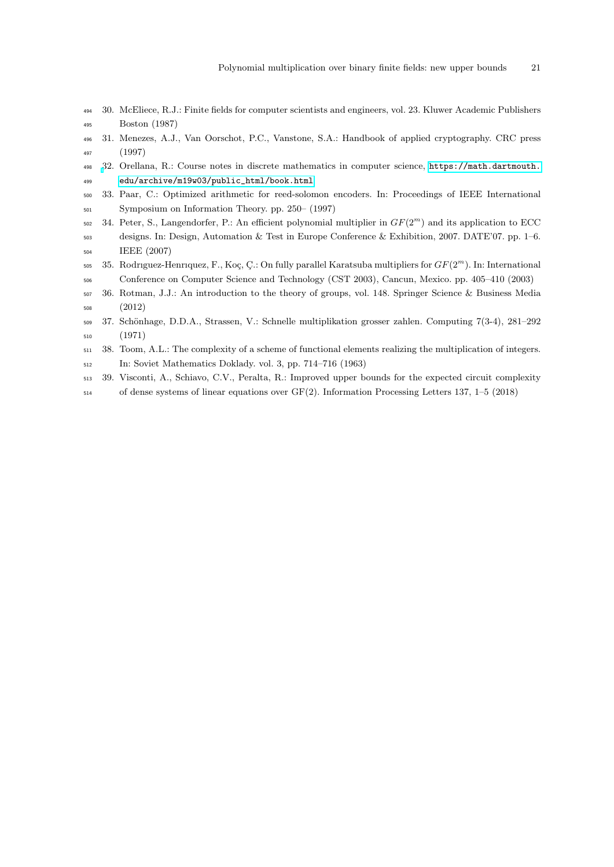- <span id="page-20-0"></span> 30. McEliece, R.J.: Finite fields for computer scientists and engineers, vol. 23. Kluwer Academic Publishers Boston (1987)
- <span id="page-20-1"></span> 31. Menezes, A.J., Van Oorschot, P.C., Vanstone, S.A.: Handbook of applied cryptography. CRC press (1997)
- <span id="page-20-7"></span> [3](https://math.dartmouth.edu/archive/m19w03/public_html/book.html)2. Orellana, R.: Course notes in discrete mathematics in computer science, [https://math.dartmouth.](https://math.dartmouth.edu/archive/m19w03/public_html/book.html) [edu/archive/m19w03/public\\_html/book.html](https://math.dartmouth.edu/archive/m19w03/public_html/book.html)
- <span id="page-20-8"></span> 33. Paar, C.: Optimized arithmetic for reed-solomon encoders. In: Proceedings of IEEE International Symposium on Information Theory. pp. 250– (1997)
- <span id="page-20-2"></span> $34.$  Peter, S., Langendorfer, P.: An efficient polynomial multiplier in  $GF(2<sup>m</sup>)$  and its application to ECC designs. In: Design, Automation & Test in Europe Conference & Exhibition, 2007. DATE'07. pp. 1–6. IEEE (2007)
- <span id="page-20-3"></span> $35.$  Rodriguez-Henriquez, F., Koç, C.: On fully parallel Karatsuba multipliers for  $GF(2<sup>m</sup>)$ . In: International Conference on Computer Science and Technology (CST 2003), Cancun, Mexico. pp. 405–410 (2003)
- <span id="page-20-6"></span> 36. Rotman, J.J.: An introduction to the theory of groups, vol. 148. Springer Science & Business Media (2012)
- <span id="page-20-5"></span>509 37. Schönhage, D.D.A., Strassen, V.: Schnelle multiplikation grosser zahlen. Computing 7(3-4), 281–292 (1971)
- <span id="page-20-4"></span> 38. Toom, A.L.: The complexity of a scheme of functional elements realizing the multiplication of integers. In: Soviet Mathematics Doklady. vol. 3, pp. 714–716 (1963)
- <span id="page-20-9"></span> 39. Visconti, A., Schiavo, C.V., Peralta, R.: Improved upper bounds for the expected circuit complexity of dense systems of linear equations over GF(2). Information Processing Letters 137, 1–5 (2018)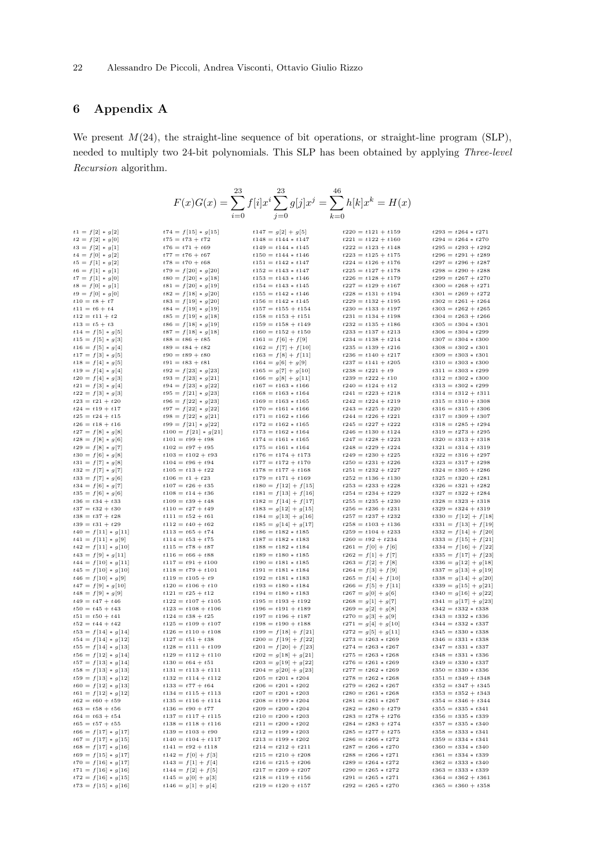## 6 Appendix A

We present  $M(24)$ , the straight-line sequence of bit operations, or straight-line program (SLP), needed to multiply two 24-bit polynomials. This SLP has been obtained by applying Three-level Recursion algorithm.

| 23<br>$F(x)G(x)=\sum f[i]x^i\sum g[j]x^j=\sum h[k]x^k=H(x)$ |                                                |                                                  |                                                |                                                  |  |  |
|-------------------------------------------------------------|------------------------------------------------|--------------------------------------------------|------------------------------------------------|--------------------------------------------------|--|--|
|                                                             |                                                |                                                  |                                                |                                                  |  |  |
|                                                             |                                                |                                                  |                                                |                                                  |  |  |
| $t1 = f[2] * g[2]$                                          | $t74 = f[15] * g[15]$                          | $t147 = g[2] + g[5]$                             | $t220 = t121 + t159$                           | $t293 = t264 * t271$                             |  |  |
| $t2 = f[2] * g[0]$                                          | $t75 = t73 + t72$                              | $t148 = t144 * t147$                             | $t221 = t122 + t160$                           | $t294 = t264 * t270$                             |  |  |
| $t3 = f[2] * g[1]$                                          | $t76 = t71 + t69$                              | $t149 = t144 * t145$                             | $t222 = t123 + t148$                           | $t295 = t293 + t292$                             |  |  |
| $t4 = f[0] * g[2]$                                          | $t77 = t76 + t67$                              | $t150 = t144 * t146$                             | $t223 = t125 + t175$                           | $t296 = t291 + t289$                             |  |  |
| $t5 = f[1] * g[2]$                                          | $t78 = t70 + t68$                              | $t151 = t142 * t147$                             | $t224 = t126 + t176$                           | $t297 = t296 + t287$                             |  |  |
| $t6 = f[1] * g[1]$                                          | $t79 = f[20] * g[20]$                          | $t152 = t143 * t147$                             | $t225 = t127 + t178$                           | $t298 = t290 + t288$                             |  |  |
| $t7 = f[1] * g[0]$<br>$t8 = f[0] * g[1]$                    | $t80 = f[20] * g[18]$<br>$t81 = f[20] * g[19]$ | $t153 = t143 * t146$<br>$t154 = t143 * t145$     | $t226 = t128 + t179$<br>$t227 = t129 + t167$   | $t299 = t267 + t270$<br>$t300 = t268 + t271$     |  |  |
| $t9 = f[0] * g[0]$                                          | $t82 = f[18] * g[20]$                          | $t155 = t142 * t146$                             | $t228 = t131 + t194$                           | $t301 = t269 + t272$                             |  |  |
| $t10 = t8 + t7$                                             | $t83 = f[19] * g[20]$                          | $t156 = t142 * t145$                             | $t229 = t132 + t195$                           | $t302 = t261 + t264$                             |  |  |
| $t11 = t6 + t4$                                             | $t84 = f[19] * g[19]$                          | $t157 = t155 + t154$                             | $t230 = t133 + t197$                           | $t303 = t262 + t265$                             |  |  |
| $t12 = t11 + t2$                                            | $t85 = f[19] * g[18]$                          | $t158 = t153 + t151$                             | $t231 = t134 + t198$                           | $t304 = t263 + t266$                             |  |  |
| $t13 = t5 + t3$                                             | $t86 = f[18] * g[19]$                          | $t159 = t158 + t149$                             | $t232 = t135 + t186$                           | $t305 = t304 * t301$                             |  |  |
| $t14 = f[5] * g[5]$                                         | $t87 = f[18] * g[18]$<br>$t88 = t86 + t85$     | $t160 = t152 + t150$<br>$t161 = f[6] + f[9]$     | $t233 = t137 + t213$<br>$t234 = t138 + t214$   | $t306 = t304 * t299$<br>$t307 = t304 * t300$     |  |  |
| $t15 = f[5] * g[3]$<br>$t16 = f[5] * g[4]$                  | $t89 = t84 + t82$                              | $t162 = f[7] + f[10]$                            | $t235 = t139 + t216$                           | $t308 = t302 * t301$                             |  |  |
| $t17 = f[3] * g[5]$                                         | $t90 = t89 + t80$                              | $t163 = f[8] + f[11]$                            | $t236 = t140 + t217$                           | $t309 = t303 * t301$                             |  |  |
| $t18 = f[4] * g[5]$                                         | $t91 = t83 + t81$                              | $t164 = g[6] + g[9]$                             | $t237 = t141 + t205$                           | $t310 = t303 * t300$                             |  |  |
| $t19 = f[4] * g[4]$                                         | $t92 = f[23] * g[23]$                          | $t165 = g[7] + g[10]$                            | $t238 = t221 + t9$                             | $t311 = t303 * t299$                             |  |  |
| $t20 = f[4] * g[3]$                                         | $t93 = f[23] * g[21]$                          | $t166 = g[8] + g[11]$                            | $t239 = t222 + t10$                            | $t312 = t302 * t300$                             |  |  |
| $t21 = f[3] * g[4]$                                         | $t94 = f[23] * g[22]$<br>$t95 = f[21] * g[23]$ | $t167 = t163 * t166$                             | $t240 = t124 + t12$                            | $t313 = t302 * t299$                             |  |  |
| $t22 = f[3] * g[3]$<br>$t23 = t21 + t20$                    | $t96 = f[22] * g[23]$                          | $t168 = t163 * t164$<br>$t169 = t163 * t165$     | $t241 = t223 + t218$<br>$t242 = t224 + t219$   | $t314 = t312 + t311$<br>$t315 = t310 + t308$     |  |  |
| $t24 = t19 + t17$                                           | $t97 = f[22] * g[22]$                          | $t170 = t161 * t166$                             | $t243 = t225 + t220$                           | $t316 = t315 + t306$                             |  |  |
| $t25 = t24 + t15$                                           | $t98 = f[22] * g[21]$                          | $t171 = t162 * t166$                             | $t244 = t226 + t221$                           | $t317 = t309 + t307$                             |  |  |
| $t26 = t18 + t16$                                           | $t99 = f[21] * g[22]$                          | $t172 = t162 * t165$                             | $t245 = t227 + t222$                           | $t318 = t285 + t294$                             |  |  |
| $t27 = f[8] * g[8]$                                         | $t100 = f[21] * g[21]$                         | $t173 = t162 * t164$                             | $t246 = t130 + t124$                           | $t319 = t273 + t295$                             |  |  |
| $t28 = f[8] * g[6]$                                         | $t101 = t99 + t98$                             | $t174 = t161 * t165$                             | $t247 = t228 + t223$                           | $t320 = t313 + t318$                             |  |  |
| $t29 = f[8] * g[7]$<br>$t30 = f[6] * g[8]$                  | $t102 = t97 + t95$<br>$t103 = t102 + t93$      | $t175 = t161 * t164$<br>$t176 = t174 + t173$     | $t248 = t229 + t224$<br>$t249 = t230 + t225$   | $t321 = t314 + t319$<br>$t322 = t316 + t297$     |  |  |
| $t31 = f[7] * g[8]$                                         | $t104 = t96 + t94$                             | $t177 = t172 + t170$                             | $t250 = t231 + t226$                           | $t323 = t317 + t298$                             |  |  |
| $t32 = f[7] * g[7]$                                         | $t105 = t13 + t22$                             | $t178 = t177 + t168$                             | $t251 = t232 + t227$                           | $t324 = t305 + t286$                             |  |  |
| $t33 = f[7] * g[6]$                                         | $t106 = t1 + t23$                              | $t179 = t171 + t169$                             | $t252 = t136 + t130$                           | $t325 = t320 + t281$                             |  |  |
| $t34 = f[6] * g[7]$                                         | $t107 = t26 + t35$                             | $t180 = f[12] + f[15]$                           | $t253 = t233 + t228$                           | $t326 = t321 + t282$                             |  |  |
| $t35 = f[6] * g[6]$                                         | $t108 = t14 + t36$                             | $t181 = f[13] + f[16]$                           | $t254 = t234 + t229$                           | $t327 = t322 + t284$                             |  |  |
| $t36 = t34 + t33$<br>$t37 = t32 + t30$                      | $t109 = t39 + t48$<br>$t110 = t27 + t49$       | $t182 = f[14] + f[17]$                           | $t255 = t235 + t230$<br>$t256 = t236 + t231$   | $t328 = t323 + t318$<br>$t329 = t324 + t319$     |  |  |
| $t38 = t37 + t28$                                           | $t111 = t52 + t61$                             | $t183 = g[12] + g[15]$<br>$t184 = g[13] + g[16]$ | $t257 = t237 + t232$                           | $t330 = f[12] + f[18]$                           |  |  |
| $t39 = t31 + t29$                                           | $t112 = t40 + t62$                             | $t185 = g[14] + g[17]$                           | $t258 = t103 + t136$                           | $t331 = f[13] + f[19]$                           |  |  |
| $t40 = f[11] * g[11]$                                       | $t113 = t65 + t74$                             | $t186 = t182 * t185$                             | $t259 = t104 + t233$                           | $t332 = f[14] + f[20]$                           |  |  |
| $t41 = f[11] * g[9]$                                        | $t114 = t53 + t75$                             | $t187 = t182 * t183$                             | $t260 = t92 + t234$                            | $t333 = f[15] + f[21]$                           |  |  |
| $t42 = f[11] * g[10]$                                       | $t115 = t78 + t87$                             | $t188 = t182 * t184$                             | $t261 = f[0] + f[6]$                           | $t334 = f[16] + f[22]$                           |  |  |
| $t43 = f[9] * g[11]$                                        | $t116 = t66 + t88$                             | $t189 = t180 * t185$                             | $t262 = f[1] + f[7]$                           | $t335 = f[17] + f[23]$                           |  |  |
| $t44 = f[10] * g[11]$<br>$t45 = f[10] * g[10]$              | $t117 = t91 + t100$<br>$t118 = t79 + t101$     | $t190 = t181 * t185$<br>$t191 = t181 * t184$     | $t263 = f[2] + f[8]$<br>$t264 = f[3] + f[9]$   | $t336 = g[12] + g[18]$<br>$t337 = g[13] + g[19]$ |  |  |
| $t46 = f[10] * g[9]$                                        | $t119 = t105 + t9$                             | $t192 = t181 * t183$                             | $t265 = f[4] + f[10]$                          | $t338 = g[14] + g[20]$                           |  |  |
| $t47 = f[9] * g[10]$                                        | $t120 = t106 + t10$                            | $t193 = t180 * t184$                             | $t266 = f[5] + f[11]$                          | $t339 = g[15] + g[21]$                           |  |  |
| $t48 = f[9] * g[9]$                                         | $t121 = t25 + t12$                             | $t194 = t180 * t183$                             | $t267 = g[0] + g[6]$                           | $t340 = g[16] + g[22]$                           |  |  |
| $t49 = t47 + t46$                                           | $t122 = t107 + t105$                           | $t195 = t193 + t192$                             | $t268 = g[1] + g[7]$                           | $t341 = g[17] + g[23]$                           |  |  |
| $t50 = t45 + t43$                                           | $t123 = t108 + t106$                           | $t196 = t191 + t189$                             | $t269 = g[2] + g[8]$                           | $t342 = t332 * t338$                             |  |  |
| $t51 = t50 + t41$                                           | $t124 = t38 + t25$                             | $t197 = t196 + t187$                             | $t270 = g[3] + g[9]$                           | $t343 = t332 * t336$                             |  |  |
| $t52 = t44 + t42$<br>$t53 = f[14] * g[14]$                  | $t125 = t109 + t107$<br>$t126 = t110 + t108$   | $t198 = t190 + t188$<br>$t199 = f[18] + f[21]$   | $t271 = g[4] + g[10]$<br>$t272 = g[5] + g[11]$ | $t344 = t332 * t337$<br>$t345 = t330 * t338$     |  |  |
| $t54 = f[14] * g[12]$                                       | $t127 = t51 + t38$                             | $t200 = f[19] + f[22]$                           | $t273 = t263 * t269$                           | $t346 = t331 * t338$                             |  |  |
| $t55 = f[14] * g[13]$                                       | $t128 = t111 + t109$                           | $t201 = f[20] + f[23]$                           | $t274 = t263 * t267$                           | $t347 = t331 * t337$                             |  |  |
| $t56 = f[12] * g[14]$                                       | $t129 = t112 + t110$                           | $t202 = g[18] + g[21]$                           | $t275 = t263 * t268$                           | $t348 = t331 * t336$                             |  |  |
| $t57 = f[13] * g[14]$                                       | $t130 = t64 + t51$                             | $t203 = g[19] + g[22]$                           | $t276 = t261 * t269$                           | $t349 = t330 * t337$                             |  |  |
| $t58 = f[13] * g[13]$                                       | $t131 = t113 + t111$                           | $t204 = g[20] + g[23]$                           | $t277 = t262 * t269$                           | $t350 = t330 * t336$                             |  |  |
| $t59 = f[13] * g[12]$<br>$t60 = f[12] * g[13]$              | $t132 = t114 + t112$<br>$t133 = t77 + t64$     | $t205 = t201 * t204$<br>$t206 = t201 * t202$     | $t278 = t262 * t268$<br>$t279 = t262 * t267$   | $t351 = t349 + t348$<br>$t352 = t347 + t345$     |  |  |
| $t61 = f[12] * g[12]$                                       | $t134 = t115 + t113$                           | $t207 = t201 * t203$                             | $t280 = t261 * t268$                           | $t353 = t352 + t343$                             |  |  |
| $t62 = t60 + t59$                                           | $t135 = t116 + t114$                           | $t208 = t199 * t204$                             | $t281 = t261 * t267$                           | $t354 = t346 + t344$                             |  |  |
| $t63 = t58 + t56$                                           | $t136 = t90 + t77$                             | $t209 = t200 * t204$                             | $t282 = t280 + t279$                           | $t355 = t335 * t341$                             |  |  |
| $t64 = t63 + t54$                                           | $t137 = t117 + t115$                           | $t210 = t200 * t203$                             | $t283 = t278 + t276$                           | $t356 = t335 * t339$                             |  |  |
| $t65 = t57 + t55$                                           | $t138 = t118 + t116$                           | $t211 = t200 * t202$                             | $t284 = t283 + t274$                           | $t357 = t335 * t340$                             |  |  |
| $t66 = f[17] * g[17]$                                       | $t139 = t103 + t90$                            | $t212 = t199 * t203$                             | $t285 = t277 + t275$                           | $t358 = t333 * t341$                             |  |  |
| $t67 = f[17] * g[15]$<br>$t68 = f[17] * g[16]$              | $t140 = t104 + t117$<br>$t141 = t92 + t118$    | $t213 = t199 * t202$<br>$t214 = t212 + t211$     | $t286 = t266 * t272$<br>$t287 = t266 * t270$   | $t359 = t334 * t341$<br>$t360 = t334 * t340$     |  |  |
| $t69 = f[15] * g[17]$                                       | $t142 = f[0] + f[3]$                           | $t215 = t210 + t208$                             | $t288 = t266 * t271$                           | $t361 = t334 * t339$                             |  |  |
| $t70 = f[16] * g[17]$                                       | $t143 = f[1] + f[4]$                           | $t216 = t215 + t206$                             | $t289 = t264 * t272$                           | $t362 = t333 * t340$                             |  |  |
| $t71 = f[16] * g[16]$                                       | $t144 = f[2] + f[5]$                           | $t217 = t209 + t207$                             | $t290 = t265 * t272$                           | $t363 = t333 * t339$                             |  |  |
| $t72 = f[16] * g[15]$                                       | $t145 = g[0] + g[3]$                           | $t218 = t119 + t156$                             | $t291 = t265 * t271$                           | $t364 = t362 + t361$                             |  |  |
| $t73 = f[15] * g[16]$                                       | $t146 = g[1] + g[4]$                           | $t219 = t120 + t157$                             | $t292 = t265 * t270$                           | $t365 = t360 + t358$                             |  |  |